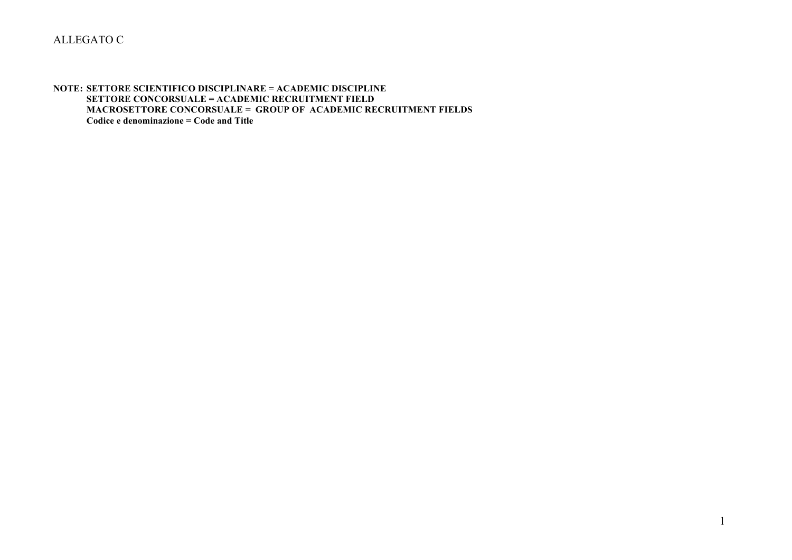#### **NOTE: SETTORE SCIENTIFICO DISCIPLINARE = ACADEMIC DISCIPLINE SETTORE CONCORSUALE = ACADEMIC RECRUITMENT FIELD MACROSETTORE CONCORSUALE = GROUP OF ACADEMIC RECRUITMENT FIELDS Codice e denominazione = Code and Title**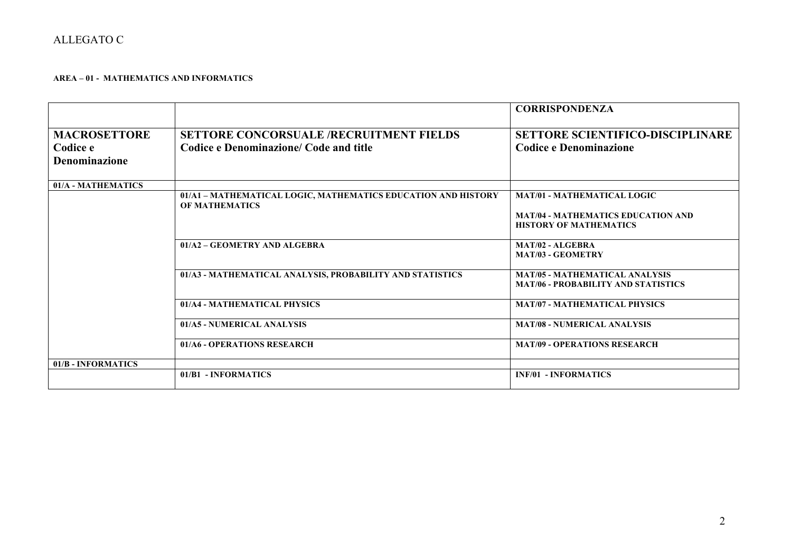### **AREA – 01 - MATHEMATICS AND INFORMATICS**

|                      |                                                                                        | <b>CORRISPONDENZA</b>                        |
|----------------------|----------------------------------------------------------------------------------------|----------------------------------------------|
| <b>MACROSETTORE</b>  | <b>SETTORE CONCORSUALE /RECRUITMENT FIELDS</b>                                         | <b>SETTORE SCIENTIFICO-DISCIPLINARE</b>      |
| Codice e             | Codice e Denominazione/ Code and title                                                 | <b>Codice e Denominazione</b>                |
| <b>Denominazione</b> |                                                                                        |                                              |
| 01/A - MATHEMATICS   |                                                                                        |                                              |
|                      | 01/A1 - MATHEMATICAL LOGIC, MATHEMATICS EDUCATION AND HISTORY<br><b>OF MATHEMATICS</b> | <b>MAT/01 - MATHEMATICAL LOGIC</b>           |
|                      |                                                                                        | <b>MAT/04 - MATHEMATICS EDUCATION AND</b>    |
|                      |                                                                                        | <b>HISTORY OF MATHEMATICS</b>                |
|                      | 01/A2 - GEOMETRY AND ALGEBRA                                                           | MAT/02 - ALGEBRA<br><b>MAT/03 - GEOMETRY</b> |
|                      |                                                                                        |                                              |
|                      | 01/A3 - MATHEMATICAL ANALYSIS, PROBABILITY AND STATISTICS                              | <b>MAT/05 - MATHEMATICAL ANALYSIS</b>        |
|                      |                                                                                        | <b>MAT/06 - PROBABILITY AND STATISTICS</b>   |
|                      | 01/A4 - MATHEMATICAL PHYSICS                                                           | <b>MAT/07 - MATHEMATICAL PHYSICS</b>         |
|                      | 01/A5 - NUMERICAL ANALYSIS                                                             | <b>MAT/08 - NUMERICAL ANALYSIS</b>           |
|                      | 01/A6 - OPERATIONS RESEARCH                                                            | <b>MAT/09 - OPERATIONS RESEARCH</b>          |
| 01/B - INFORMATICS   |                                                                                        |                                              |
|                      | 01/B1 - INFORMATICS                                                                    | <b>INF/01 - INFORMATICS</b>                  |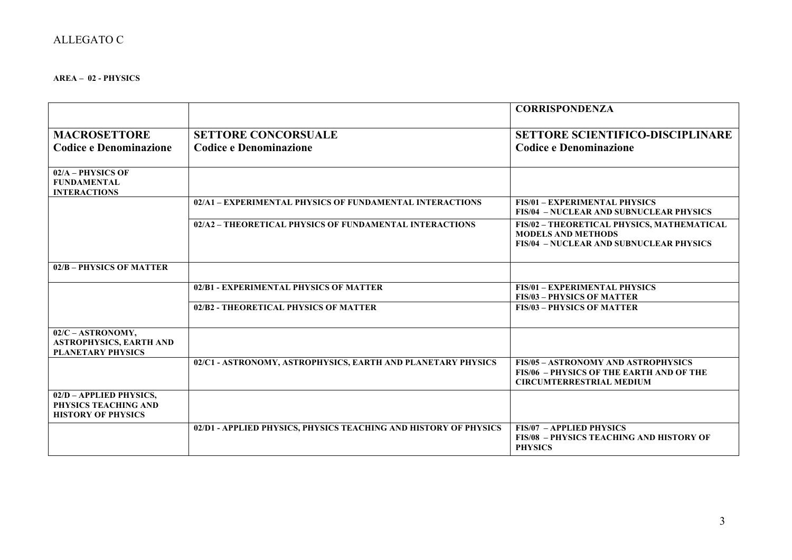#### **AREA – 02 - PHYSICS**

|                                                                                 |                                                                  | <b>CORRISPONDENZA</b>                                                                                                            |
|---------------------------------------------------------------------------------|------------------------------------------------------------------|----------------------------------------------------------------------------------------------------------------------------------|
|                                                                                 |                                                                  |                                                                                                                                  |
| <b>MACROSETTORE</b>                                                             | <b>SETTORE CONCORSUALE</b>                                       | <b>SETTORE SCIENTIFICO-DISCIPLINARE</b>                                                                                          |
| <b>Codice e Denominazione</b>                                                   | <b>Codice e Denominazione</b>                                    | <b>Codice e Denominazione</b>                                                                                                    |
|                                                                                 |                                                                  |                                                                                                                                  |
| 02/A - PHYSICS OF<br><b>FUNDAMENTAL</b><br><b>INTERACTIONS</b>                  |                                                                  |                                                                                                                                  |
|                                                                                 | 02/A1 - EXPERIMENTAL PHYSICS OF FUNDAMENTAL INTERACTIONS         | <b>FIS/01 - EXPERIMENTAL PHYSICS</b><br><b>FIS/04 - NUCLEAR AND SUBNUCLEAR PHYSICS</b>                                           |
|                                                                                 | 02/A2 - THEORETICAL PHYSICS OF FUNDAMENTAL INTERACTIONS          | FIS/02 - THEORETICAL PHYSICS, MATHEMATICAL<br><b>MODELS AND METHODS</b><br><b>FIS/04 - NUCLEAR AND SUBNUCLEAR PHYSICS</b>        |
| 02/B - PHYSICS OF MATTER                                                        |                                                                  |                                                                                                                                  |
|                                                                                 | 02/B1 - EXPERIMENTAL PHYSICS OF MATTER                           | <b>FIS/01 - EXPERIMENTAL PHYSICS</b><br><b>FIS/03 - PHYSICS OF MATTER</b>                                                        |
|                                                                                 | 02/B2 - THEORETICAL PHYSICS OF MATTER                            | <b>FIS/03 - PHYSICS OF MATTER</b>                                                                                                |
| 02/C - ASTRONOMY,<br><b>ASTROPHYSICS, EARTH AND</b><br><b>PLANETARY PHYSICS</b> |                                                                  |                                                                                                                                  |
|                                                                                 | 02/C1 - ASTRONOMY, ASTROPHYSICS, EARTH AND PLANETARY PHYSICS     | <b>FIS/05 - ASTRONOMY AND ASTROPHYSICS</b><br><b>FIS/06 - PHYSICS OF THE EARTH AND OF THE</b><br><b>CIRCUMTERRESTRIAL MEDIUM</b> |
| 02/D - APPLIED PHYSICS,<br>PHYSICS TEACHING AND<br><b>HISTORY OF PHYSICS</b>    |                                                                  |                                                                                                                                  |
|                                                                                 | 02/D1 - APPLIED PHYSICS, PHYSICS TEACHING AND HISTORY OF PHYSICS | <b>FIS/07 - APPLIED PHYSICS</b><br><b>FIS/08 - PHYSICS TEACHING AND HISTORY OF</b><br><b>PHYSICS</b>                             |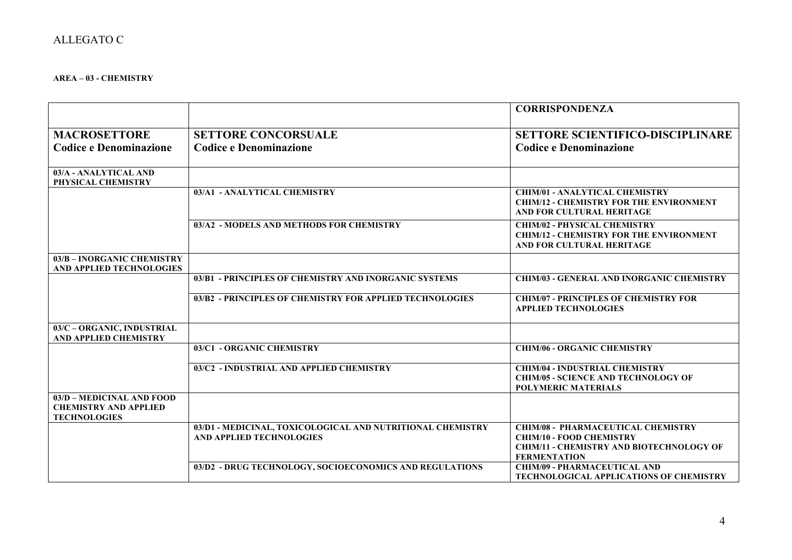### **AREA – 03 - CHEMISTRY**

|                                                                                  |                                                                                               | <b>CORRISPONDENZA</b>                                                                                                                                  |
|----------------------------------------------------------------------------------|-----------------------------------------------------------------------------------------------|--------------------------------------------------------------------------------------------------------------------------------------------------------|
|                                                                                  |                                                                                               |                                                                                                                                                        |
| <b>MACROSETTORE</b>                                                              | <b>SETTORE CONCORSUALE</b>                                                                    | <b>SETTORE SCIENTIFICO-DISCIPLINARE</b>                                                                                                                |
| <b>Codice e Denominazione</b>                                                    | <b>Codice e Denominazione</b>                                                                 | <b>Codice e Denominazione</b>                                                                                                                          |
| 03/A - ANALYTICAL AND<br>PHYSICAL CHEMISTRY                                      |                                                                                               |                                                                                                                                                        |
|                                                                                  | 03/A1 - ANALYTICAL CHEMISTRY                                                                  | <b>CHIM/01 - ANALYTICAL CHEMISTRY</b><br><b>CHIM/12 - CHEMISTRY FOR THE ENVIRONMENT</b><br>AND FOR CULTURAL HERITAGE                                   |
|                                                                                  | 03/A2 - MODELS AND METHODS FOR CHEMISTRY                                                      | <b>CHIM/02 - PHYSICAL CHEMISTRY</b><br><b>CHIM/12 - CHEMISTRY FOR THE ENVIRONMENT</b><br>AND FOR CULTURAL HERITAGE                                     |
| 03/B - INORGANIC CHEMISTRY<br><b>AND APPLIED TECHNOLOGIES</b>                    |                                                                                               |                                                                                                                                                        |
|                                                                                  | 03/B1 - PRINCIPLES OF CHEMISTRY AND INORGANIC SYSTEMS                                         | <b>CHIM/03 - GENERAL AND INORGANIC CHEMISTRY</b>                                                                                                       |
|                                                                                  | 03/B2 - PRINCIPLES OF CHEMISTRY FOR APPLIED TECHNOLOGIES                                      | <b>CHIM/07 - PRINCIPLES OF CHEMISTRY FOR</b><br><b>APPLIED TECHNOLOGIES</b>                                                                            |
| 03/C - ORGANIC, INDUSTRIAL<br><b>AND APPLIED CHEMISTRY</b>                       |                                                                                               |                                                                                                                                                        |
|                                                                                  | 03/C1 - ORGANIC CHEMISTRY                                                                     | <b>CHIM/06 - ORGANIC CHEMISTRY</b>                                                                                                                     |
|                                                                                  | 03/C2 - INDUSTRIAL AND APPLIED CHEMISTRY                                                      | <b>CHIM/04 - INDUSTRIAL CHEMISTRY</b><br><b>CHIM/05 - SCIENCE AND TECHNOLOGY OF</b><br><b>POLYMERIC MATERIALS</b>                                      |
| 03/D - MEDICINAL AND FOOD<br><b>CHEMISTRY AND APPLIED</b><br><b>TECHNOLOGIES</b> |                                                                                               |                                                                                                                                                        |
|                                                                                  | 03/D1 - MEDICINAL, TOXICOLOGICAL AND NUTRITIONAL CHEMISTRY<br><b>AND APPLIED TECHNOLOGIES</b> | <b>CHIM/08 - PHARMACEUTICAL CHEMISTRY</b><br><b>CHIM/10 - FOOD CHEMISTRY</b><br><b>CHIM/11 - CHEMISTRY AND BIOTECHNOLOGY OF</b><br><b>FERMENTATION</b> |
|                                                                                  | 03/D2 - DRUG TECHNOLOGY, SOCIOECONOMICS AND REGULATIONS                                       | <b>CHIM/09 - PHARMACEUTICAL AND</b><br><b>TECHNOLOGICAL APPLICATIONS OF CHEMISTRY</b>                                                                  |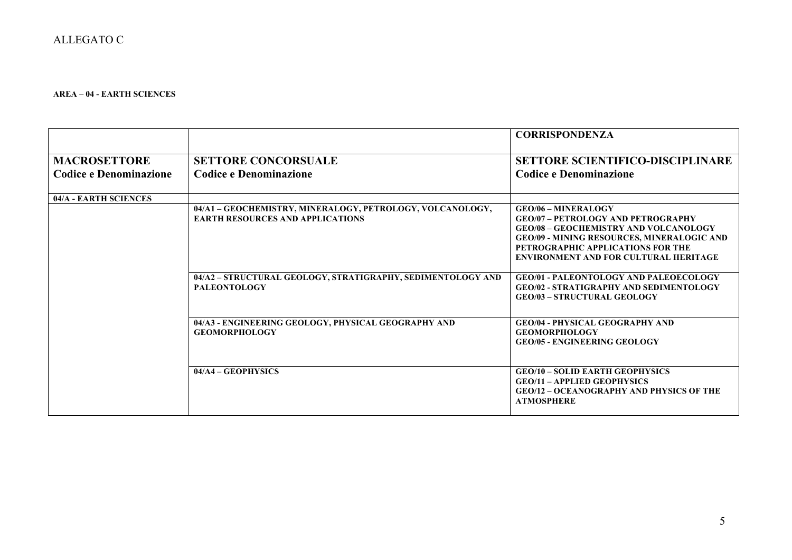### **AREA – 04 - EARTH SCIENCES**

|                               |                                                                                                      | <b>CORRISPONDENZA</b>                                                                                                                                                                                                                                             |
|-------------------------------|------------------------------------------------------------------------------------------------------|-------------------------------------------------------------------------------------------------------------------------------------------------------------------------------------------------------------------------------------------------------------------|
| <b>MACROSETTORE</b>           | <b>SETTORE CONCORSUALE</b>                                                                           | <b>SETTORE SCIENTIFICO-DISCIPLINARE</b>                                                                                                                                                                                                                           |
| <b>Codice e Denominazione</b> | <b>Codice e Denominazione</b>                                                                        | <b>Codice e Denominazione</b>                                                                                                                                                                                                                                     |
|                               |                                                                                                      |                                                                                                                                                                                                                                                                   |
| 04/A - EARTH SCIENCES         |                                                                                                      |                                                                                                                                                                                                                                                                   |
|                               | 04/A1 - GEOCHEMISTRY, MINERALOGY, PETROLOGY, VOLCANOLOGY,<br><b>EARTH RESOURCES AND APPLICATIONS</b> | <b>GEO/06 - MINERALOGY</b><br><b>GEO/07 - PETROLOGY AND PETROGRAPHY</b><br><b>GEO/08 - GEOCHEMISTRY AND VOLCANOLOGY</b><br><b>GEO/09 - MINING RESOURCES, MINERALOGIC AND</b><br>PETROGRAPHIC APPLICATIONS FOR THE<br><b>ENVIRONMENT AND FOR CULTURAL HERITAGE</b> |
|                               | 04/A2 - STRUCTURAL GEOLOGY, STRATIGRAPHY, SEDIMENTOLOGY AND<br><b>PALEONTOLOGY</b>                   | <b>GEO/01 - PALEONTOLOGY AND PALEOECOLOGY</b><br><b>GEO/02 - STRATIGRAPHY AND SEDIMENTOLOGY</b><br><b>GEO/03 - STRUCTURAL GEOLOGY</b>                                                                                                                             |
|                               | 04/A3 - ENGINEERING GEOLOGY, PHYSICAL GEOGRAPHY AND<br><b>GEOMORPHOLOGY</b>                          | <b>GEO/04 - PHYSICAL GEOGRAPHY AND</b><br><b>GEOMORPHOLOGY</b><br><b>GEO/05 - ENGINEERING GEOLOGY</b>                                                                                                                                                             |
|                               | $04/A4 - GEOPHYSICS$                                                                                 | <b>GEO/10 - SOLID EARTH GEOPHYSICS</b><br><b>GEO/11 - APPLIED GEOPHYSICS</b><br><b>GEO/12 - OCEANOGRAPHY AND PHYSICS OF THE</b><br><b>ATMOSPHERE</b>                                                                                                              |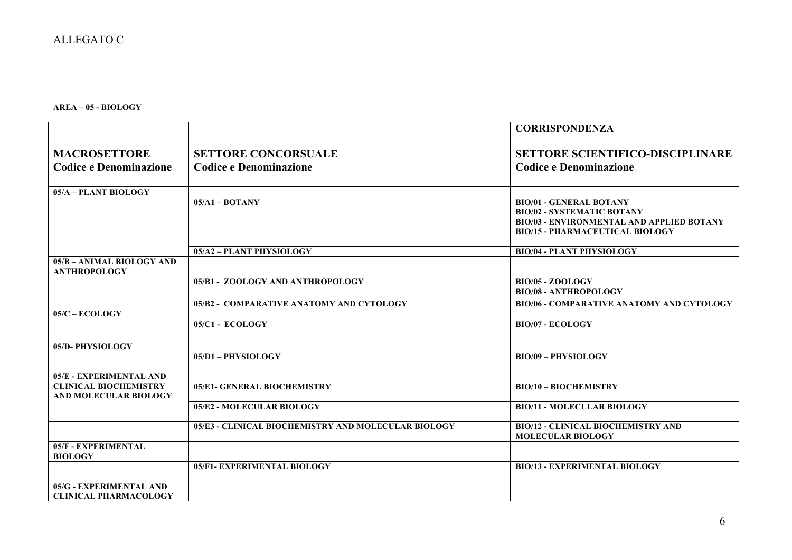**AREA – 05 - BIOLOGY**

|                               |                                                     | <b>CORRISPONDENZA</b>                            |
|-------------------------------|-----------------------------------------------------|--------------------------------------------------|
|                               |                                                     |                                                  |
| <b>MACROSETTORE</b>           | <b>SETTORE CONCORSUALE</b>                          | <b>SETTORE SCIENTIFICO-DISCIPLINARE</b>          |
| <b>Codice e Denominazione</b> | <b>Codice e Denominazione</b>                       | <b>Codice e Denominazione</b>                    |
|                               |                                                     |                                                  |
| 05/A - PLANT BIOLOGY          |                                                     |                                                  |
|                               | $05/A1 - BOTANY$                                    | <b>BIO/01 - GENERAL BOTANY</b>                   |
|                               |                                                     | <b>BIO/02 - SYSTEMATIC BOTANY</b>                |
|                               |                                                     | <b>BIO/03 - ENVIRONMENTAL AND APPLIED BOTANY</b> |
|                               |                                                     | <b>BIO/15 - PHARMACEUTICAL BIOLOGY</b>           |
|                               | 05/A2 - PLANT PHYSIOLOGY                            | <b>BIO/04 - PLANT PHYSIOLOGY</b>                 |
| 05/B - ANIMAL BIOLOGY AND     |                                                     |                                                  |
| <b>ANTHROPOLOGY</b>           |                                                     |                                                  |
|                               | 05/B1 - ZOOLOGY AND ANTHROPOLOGY                    | BIO/05 - ZOOLOGY                                 |
|                               |                                                     | <b>BIO/08 - ANTHROPOLOGY</b>                     |
|                               | 05/B2 - COMPARATIVE ANATOMY AND CYTOLOGY            | <b>BIO/06 - COMPARATIVE ANATOMY AND CYTOLOGY</b> |
| $05/C - ECOLOGY$              |                                                     |                                                  |
|                               | 05/C1 - ECOLOGY                                     | <b>BIO/07 - ECOLOGY</b>                          |
|                               |                                                     |                                                  |
| 05/D-PHYSIOLOGY               |                                                     |                                                  |
|                               | 05/D1 - PHYSIOLOGY                                  | <b>BIO/09 - PHYSIOLOGY</b>                       |
| 05/E - EXPERIMENTAL AND       |                                                     |                                                  |
| <b>CLINICAL BIOCHEMISTRY</b>  | 05/E1- GENERAL BIOCHEMISTRY                         | <b>BIO/10 - BIOCHEMISTRY</b>                     |
| <b>AND MOLECULAR BIOLOGY</b>  |                                                     |                                                  |
|                               | 05/E2 - MOLECULAR BIOLOGY                           | <b>BIO/11 - MOLECULAR BIOLOGY</b>                |
|                               | 05/E3 - CLINICAL BIOCHEMISTRY AND MOLECULAR BIOLOGY | <b>BIO/12 - CLINICAL BIOCHEMISTRY AND</b>        |
|                               |                                                     | <b>MOLECULAR BIOLOGY</b>                         |
| 05/F - EXPERIMENTAL           |                                                     |                                                  |
| <b>BIOLOGY</b>                |                                                     |                                                  |
|                               | 05/F1- EXPERIMENTAL BIOLOGY                         | <b>BIO/13 - EXPERIMENTAL BIOLOGY</b>             |
| 05/G - EXPERIMENTAL AND       |                                                     |                                                  |
| <b>CLINICAL PHARMACOLOGY</b>  |                                                     |                                                  |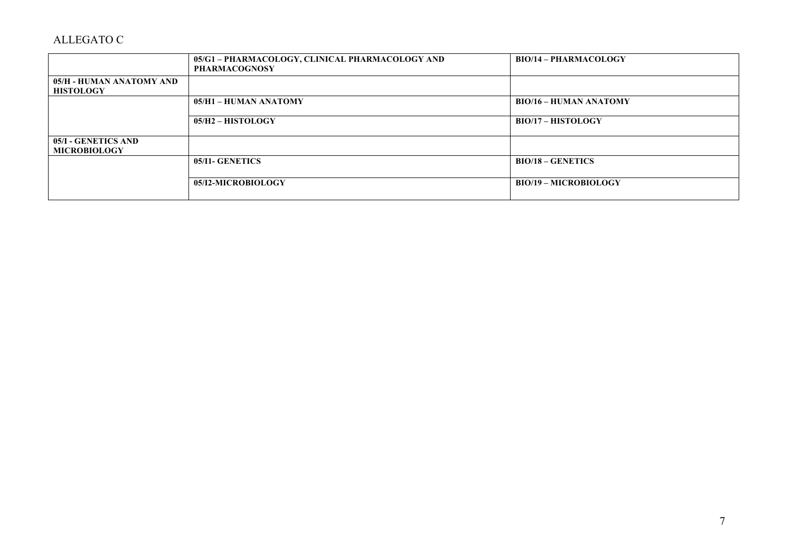|                                              | 05/G1 – PHARMACOLOGY, CLINICAL PHARMACOLOGY AND<br><b>PHARMACOGNOSY</b> | <b>BIO/14 - PHARMACOLOGY</b>  |
|----------------------------------------------|-------------------------------------------------------------------------|-------------------------------|
| 05/H - HUMAN ANATOMY AND<br><b>HISTOLOGY</b> |                                                                         |                               |
|                                              | 05/H1 - HUMAN ANATOMY                                                   | <b>BIO/16 - HUMAN ANATOMY</b> |
|                                              | $05/H2 - HISTOLOGY$                                                     | <b>BIO/17 - HISTOLOGY</b>     |
| 05/I - GENETICS AND<br><b>MICROBIOLOGY</b>   |                                                                         |                               |
|                                              | 05/I1- GENETICS                                                         | $BIO/18 - GENETICS$           |
|                                              | 05/I2-MICROBIOLOGY                                                      | <b>BIO/19 - MICROBIOLOGY</b>  |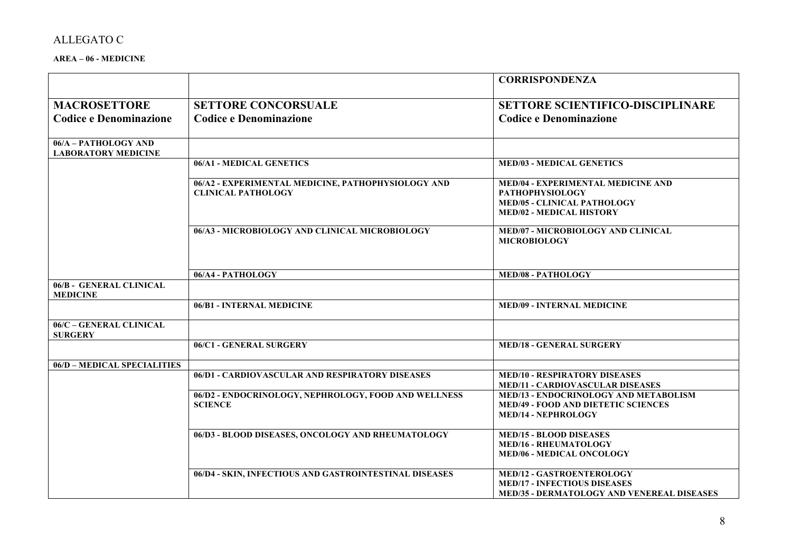### **AREA – 06 - MEDICINE**

|                                                    |                                                                                 | <b>CORRISPONDENZA</b>                                                                                                                        |
|----------------------------------------------------|---------------------------------------------------------------------------------|----------------------------------------------------------------------------------------------------------------------------------------------|
| <b>MACROSETTORE</b>                                | <b>SETTORE CONCORSUALE</b>                                                      | <b>SETTORE SCIENTIFICO-DISCIPLINARE</b>                                                                                                      |
| <b>Codice e Denominazione</b>                      | <b>Codice e Denominazione</b>                                                   | <b>Codice e Denominazione</b>                                                                                                                |
| 06/A - PATHOLOGY AND<br><b>LABORATORY MEDICINE</b> |                                                                                 |                                                                                                                                              |
|                                                    | 06/A1 - MEDICAL GENETICS                                                        | <b>MED/03 - MEDICAL GENETICS</b>                                                                                                             |
|                                                    | 06/A2 - EXPERIMENTAL MEDICINE, PATHOPHYSIOLOGY AND<br><b>CLINICAL PATHOLOGY</b> | <b>MED/04 - EXPERIMENTAL MEDICINE AND</b><br><b>PATHOPHYSIOLOGY</b><br><b>MED/05 - CLINICAL PATHOLOGY</b><br><b>MED/02 - MEDICAL HISTORY</b> |
|                                                    | 06/A3 - MICROBIOLOGY AND CLINICAL MICROBIOLOGY                                  | MED/07 - MICROBIOLOGY AND CLINICAL<br><b>MICROBIOLOGY</b>                                                                                    |
|                                                    | 06/A4 - PATHOLOGY                                                               | <b>MED/08 - PATHOLOGY</b>                                                                                                                    |
| 06/B - GENERAL CLINICAL<br><b>MEDICINE</b>         |                                                                                 |                                                                                                                                              |
|                                                    | 06/B1 - INTERNAL MEDICINE                                                       | <b>MED/09 - INTERNAL MEDICINE</b>                                                                                                            |
| 06/C - GENERAL CLINICAL<br><b>SURGERY</b>          |                                                                                 |                                                                                                                                              |
|                                                    | 06/C1 - GENERAL SURGERY                                                         | <b>MED/18 - GENERAL SURGERY</b>                                                                                                              |
| 06/D - MEDICAL SPECIALITIES                        |                                                                                 |                                                                                                                                              |
|                                                    | 06/D1 - CARDIOVASCULAR AND RESPIRATORY DISEASES                                 | <b>MED/10 - RESPIRATORY DISEASES</b><br><b>MED/11 - CARDIOVASCULAR DISEASES</b>                                                              |
|                                                    | 06/D2 - ENDOCRINOLOGY, NEPHROLOGY, FOOD AND WELLNESS<br><b>SCIENCE</b>          | MED/13 - ENDOCRINOLOGY AND METABOLISM<br><b>MED/49 - FOOD AND DIETETIC SCIENCES</b><br><b>MED/14 - NEPHROLOGY</b>                            |
|                                                    | 06/D3 - BLOOD DISEASES, ONCOLOGY AND RHEUMATOLOGY                               | <b>MED/15 - BLOOD DISEASES</b><br><b>MED/16 - RHEUMATOLOGY</b><br><b>MED/06 - MEDICAL ONCOLOGY</b>                                           |
|                                                    | 06/D4 - SKIN, INFECTIOUS AND GASTROINTESTINAL DISEASES                          | <b>MED/12 - GASTROENTEROLOGY</b><br><b>MED/17 - INFECTIOUS DISEASES</b><br><b>MED/35 - DERMATOLOGY AND VENEREAL DISEASES</b>                 |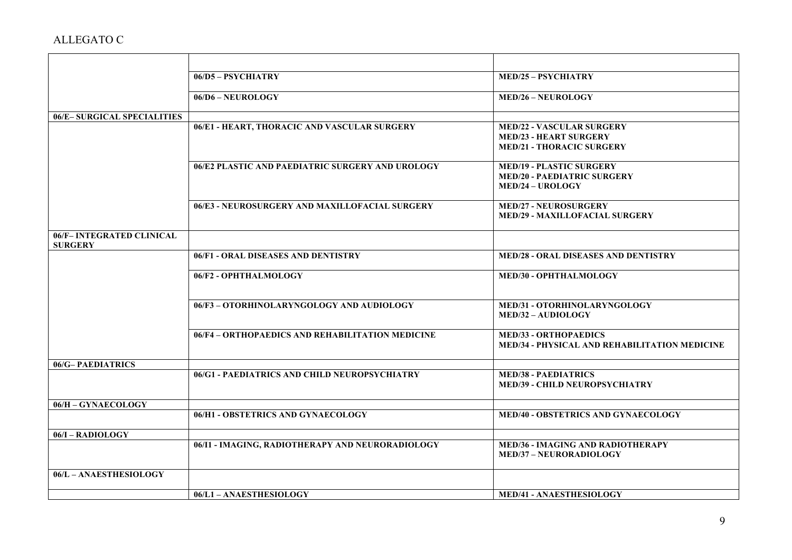|                                             | 06/D5 - PSYCHIATRY                               | <b>MED/25 - PSYCHIATRY</b>                                                                            |
|---------------------------------------------|--------------------------------------------------|-------------------------------------------------------------------------------------------------------|
|                                             | 06/D6 - NEUROLOGY                                | <b>MED/26 - NEUROLOGY</b>                                                                             |
| 06/E-SURGICAL SPECIALITIES                  |                                                  |                                                                                                       |
|                                             | 06/E1 - HEART, THORACIC AND VASCULAR SURGERY     | <b>MED/22 - VASCULAR SURGERY</b><br><b>MED/23 - HEART SURGERY</b><br><b>MED/21 - THORACIC SURGERY</b> |
|                                             | 06/E2 PLASTIC AND PAEDIATRIC SURGERY AND UROLOGY | <b>MED/19 - PLASTIC SURGERY</b><br><b>MED/20 - PAEDIATRIC SURGERY</b><br><b>MED/24 - UROLOGY</b>      |
|                                             | 06/E3 - NEUROSURGERY AND MAXILLOFACIAL SURGERY   | <b>MED/27 - NEUROSURGERY</b><br><b>MED/29 - MAXILLOFACIAL SURGERY</b>                                 |
| 06/F- INTEGRATED CLINICAL<br><b>SURGERY</b> |                                                  |                                                                                                       |
|                                             | 06/F1 - ORAL DISEASES AND DENTISTRY              | <b>MED/28 - ORAL DISEASES AND DENTISTRY</b>                                                           |
|                                             | 06/F2 - OPHTHALMOLOGY                            | MED/30 - OPHTHALMOLOGY                                                                                |
|                                             | 06/F3-OTORHINOLARYNGOLOGY AND AUDIOLOGY          | MED/31 - OTORHINOLARYNGOLOGY<br><b>MED/32 - AUDIOLOGY</b>                                             |
|                                             | 06/F4 - ORTHOPAEDICS AND REHABILITATION MEDICINE | <b>MED/33 - ORTHOPAEDICS</b><br>MED/34 - PHYSICAL AND REHABILITATION MEDICINE                         |
| 06/G-PAEDIATRICS                            |                                                  |                                                                                                       |
|                                             | 06/G1 - PAEDIATRICS AND CHILD NEUROPSYCHIATRY    | <b>MED/38 - PAEDIATRICS</b><br><b>MED/39 - CHILD NEUROPSYCHIATRY</b>                                  |
| 06/H - GYNAECOLOGY                          |                                                  |                                                                                                       |
|                                             | 06/H1 - OBSTETRICS AND GYNAECOLOGY               | <b>MED/40 - OBSTETRICS AND GYNAECOLOGY</b>                                                            |
| 06/I - RADIOLOGY                            |                                                  |                                                                                                       |
|                                             | 06/I1 - IMAGING, RADIOTHERAPY AND NEURORADIOLOGY | <b>MED/36 - IMAGING AND RADIOTHERAPY</b><br><b>MED/37 - NEURORADIOLOGY</b>                            |
| 06/L - ANAESTHESIOLOGY                      |                                                  |                                                                                                       |
|                                             | 06/L1-ANAESTHESIOLOGY                            | <b>MED/41 - ANAESTHESIOLOGY</b>                                                                       |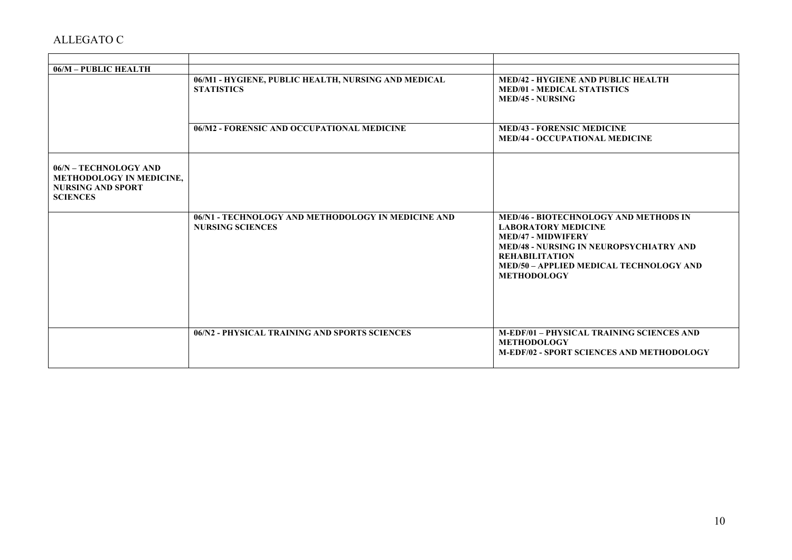| 06/M - PUBLIC HEALTH                                                                                    |                                                                               |                                                                                                                                                                                                                                                            |
|---------------------------------------------------------------------------------------------------------|-------------------------------------------------------------------------------|------------------------------------------------------------------------------------------------------------------------------------------------------------------------------------------------------------------------------------------------------------|
|                                                                                                         | 06/M1 - HYGIENE, PUBLIC HEALTH, NURSING AND MEDICAL<br><b>STATISTICS</b>      | <b>MED/42 - HYGIENE AND PUBLIC HEALTH</b><br><b>MED/01 - MEDICAL STATISTICS</b><br><b>MED/45 - NURSING</b>                                                                                                                                                 |
|                                                                                                         | 06/M2 - FORENSIC AND OCCUPATIONAL MEDICINE                                    | <b>MED/43 - FORENSIC MEDICINE</b><br><b>MED/44 - OCCUPATIONAL MEDICINE</b>                                                                                                                                                                                 |
| 06/N - TECHNOLOGY AND<br><b>METHODOLOGY IN MEDICINE,</b><br><b>NURSING AND SPORT</b><br><b>SCIENCES</b> |                                                                               |                                                                                                                                                                                                                                                            |
|                                                                                                         | 06/N1 - TECHNOLOGY AND METHODOLOGY IN MEDICINE AND<br><b>NURSING SCIENCES</b> | <b>MED/46 - BIOTECHNOLOGY AND METHODS IN</b><br><b>LABORATORY MEDICINE</b><br><b>MED/47 - MIDWIFERY</b><br><b>MED/48 - NURSING IN NEUROPSYCHIATRY AND</b><br><b>REHABILITATION</b><br><b>MED/50 - APPLIED MEDICAL TECHNOLOGY AND</b><br><b>METHODOLOGY</b> |
|                                                                                                         | 06/N2 - PHYSICAL TRAINING AND SPORTS SCIENCES                                 | <b>M-EDF/01 - PHYSICAL TRAINING SCIENCES AND</b><br><b>METHODOLOGY</b><br><b>M-EDF/02 - SPORT SCIENCES AND METHODOLOGY</b>                                                                                                                                 |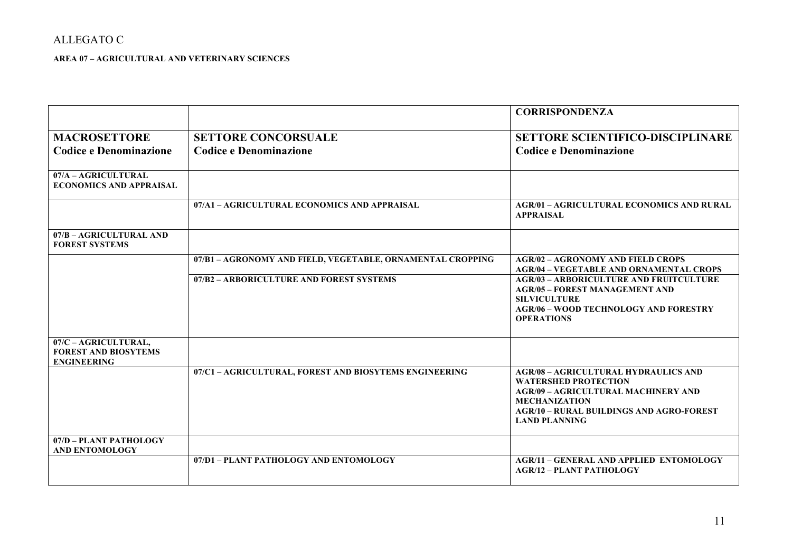**AREA 07 – AGRICULTURAL AND VETERINARY SCIENCES**

|                                                                           |                                                             | <b>CORRISPONDENZA</b>                                                                                                                                                                                                       |
|---------------------------------------------------------------------------|-------------------------------------------------------------|-----------------------------------------------------------------------------------------------------------------------------------------------------------------------------------------------------------------------------|
| <b>MACROSETTORE</b><br><b>Codice e Denominazione</b>                      | <b>SETTORE CONCORSUALE</b><br><b>Codice e Denominazione</b> | <b>SETTORE SCIENTIFICO-DISCIPLINARE</b><br><b>Codice e Denominazione</b>                                                                                                                                                    |
| 07/A - AGRICULTURAL<br><b>ECONOMICS AND APPRAISAL</b>                     |                                                             |                                                                                                                                                                                                                             |
|                                                                           | 07/A1 - AGRICULTURAL ECONOMICS AND APPRAISAL                | <b>AGR/01 - AGRICULTURAL ECONOMICS AND RURAL</b><br><b>APPRAISAL</b>                                                                                                                                                        |
| 07/B - AGRICULTURAL AND<br><b>FOREST SYSTEMS</b>                          |                                                             |                                                                                                                                                                                                                             |
|                                                                           | 07/B1 - AGRONOMY AND FIELD, VEGETABLE, ORNAMENTAL CROPPING  | <b>AGR/02 - AGRONOMY AND FIELD CROPS</b><br><b>AGR/04 - VEGETABLE AND ORNAMENTAL CROPS</b>                                                                                                                                  |
|                                                                           | 07/B2 - ARBORICULTURE AND FOREST SYSTEMS                    | <b>AGR/03 - ARBORICULTURE AND FRUITCULTURE</b><br><b>AGR/05 - FOREST MANAGEMENT AND</b><br><b>SILVICULTURE</b><br><b>AGR/06 - WOOD TECHNOLOGY AND FORESTRY</b><br><b>OPERATIONS</b>                                         |
| 07/C - AGRICULTURAL,<br><b>FOREST AND BIOSYTEMS</b><br><b>ENGINEERING</b> |                                                             |                                                                                                                                                                                                                             |
|                                                                           | 07/C1 - AGRICULTURAL, FOREST AND BIOSYTEMS ENGINEERING      | <b>AGR/08 - AGRICULTURAL HYDRAULICS AND</b><br><b>WATERSHED PROTECTION</b><br><b>AGR/09 - AGRICULTURAL MACHINERY AND</b><br><b>MECHANIZATION</b><br><b>AGR/10 - RURAL BUILDINGS AND AGRO-FOREST</b><br><b>LAND PLANNING</b> |
| 07/D - PLANT PATHOLOGY<br><b>AND ENTOMOLOGY</b>                           |                                                             |                                                                                                                                                                                                                             |
|                                                                           | 07/D1 - PLANT PATHOLOGY AND ENTOMOLOGY                      | <b>AGR/11 - GENERAL AND APPLIED ENTOMOLOGY</b><br><b>AGR/12 - PLANT PATHOLOGY</b>                                                                                                                                           |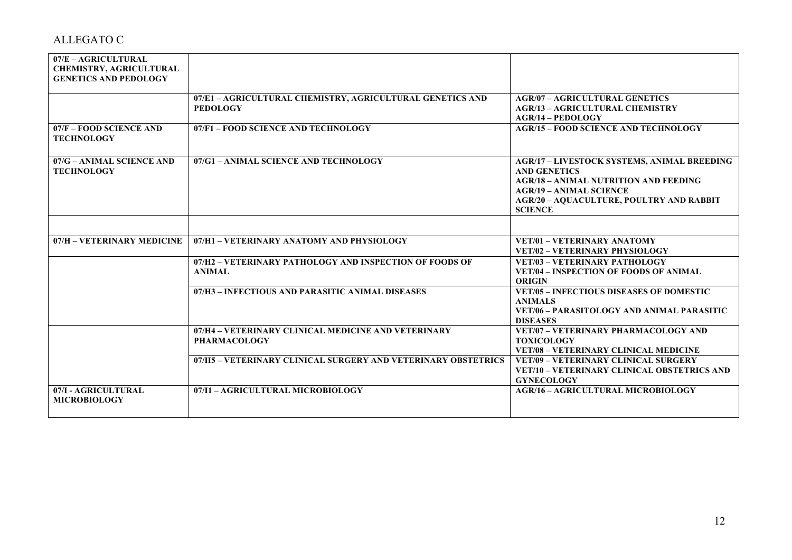| 07/E - AGRICULTURAL<br><b>CHEMISTRY, AGRICULTURAL</b><br><b>GENETICS AND PEDOLOGY</b> |                                                                              |                                                                                                                                                                                                                                  |
|---------------------------------------------------------------------------------------|------------------------------------------------------------------------------|----------------------------------------------------------------------------------------------------------------------------------------------------------------------------------------------------------------------------------|
|                                                                                       | 07/E1 - AGRICULTURAL CHEMISTRY, AGRICULTURAL GENETICS AND<br><b>PEDOLOGY</b> | <b>AGR/07 - AGRICULTURAL GENETICS</b><br><b>AGR/13 - AGRICULTURAL CHEMISTRY</b><br>$AGR/14 - PEDOLOGY$                                                                                                                           |
| 07/F - FOOD SCIENCE AND<br><b>TECHNOLOGY</b>                                          | 07/F1 - FOOD SCIENCE AND TECHNOLOGY                                          | <b>AGR/15 - FOOD SCIENCE AND TECHNOLOGY</b>                                                                                                                                                                                      |
| 07/G - ANIMAL SCIENCE AND<br><b>TECHNOLOGY</b>                                        | 07/G1 - ANIMAL SCIENCE AND TECHNOLOGY                                        | <b>AGR/17 - LIVESTOCK SYSTEMS, ANIMAL BREEDING</b><br><b>AND GENETICS</b><br><b>AGR/18 - ANIMAL NUTRITION AND FEEDING</b><br><b>AGR/19 - ANIMAL SCIENCE</b><br><b>AGR/20 - AQUACULTURE, POULTRY AND RABBIT</b><br><b>SCIENCE</b> |
|                                                                                       |                                                                              |                                                                                                                                                                                                                                  |
| 07/H - VETERINARY MEDICINE                                                            | 07/H1 - VETERINARY ANATOMY AND PHYSIOLOGY                                    | <b>VET/01 - VETERINARY ANATOMY</b><br><b>VET/02 - VETERINARY PHYSIOLOGY</b>                                                                                                                                                      |
|                                                                                       | 07/H2 - VETERINARY PATHOLOGY AND INSPECTION OF FOODS OF<br><b>ANIMAL</b>     | <b>VET/03 - VETERINARY PATHOLOGY</b><br><b>VET/04 - INSPECTION OF FOODS OF ANIMAL</b><br><b>ORIGIN</b>                                                                                                                           |
|                                                                                       | 07/H3 - INFECTIOUS AND PARASITIC ANIMAL DISEASES                             | <b>VET/05 - INFECTIOUS DISEASES OF DOMESTIC</b><br><b>ANIMALS</b><br>VET/06 - PARASITOLOGY AND ANIMAL PARASITIC<br><b>DISEASES</b>                                                                                               |
|                                                                                       | 07/H4 - VETERINARY CLINICAL MEDICINE AND VETERINARY<br>PHARMACOLOGY          | VET/07 - VETERINARY PHARMACOLOGY AND<br><b>TOXICOLOGY</b><br><b>VET/08 - VETERINARY CLINICAL MEDICINE</b>                                                                                                                        |
|                                                                                       | 07/H5 - VETERINARY CLINICAL SURGERY AND VETERINARY OBSTETRICS                | <b>VET/09 - VETERINARY CLINICAL SURGERY</b><br>VET/10 - VETERINARY CLINICAL OBSTETRICS AND<br><b>GYNECOLOGY</b>                                                                                                                  |
| 07/I - AGRICULTURAL<br><b>MICROBIOLOGY</b>                                            | 07/I1 - AGRICULTURAL MICROBIOLOGY                                            | <b>AGR/16 - AGRICULTURAL MICROBIOLOGY</b>                                                                                                                                                                                        |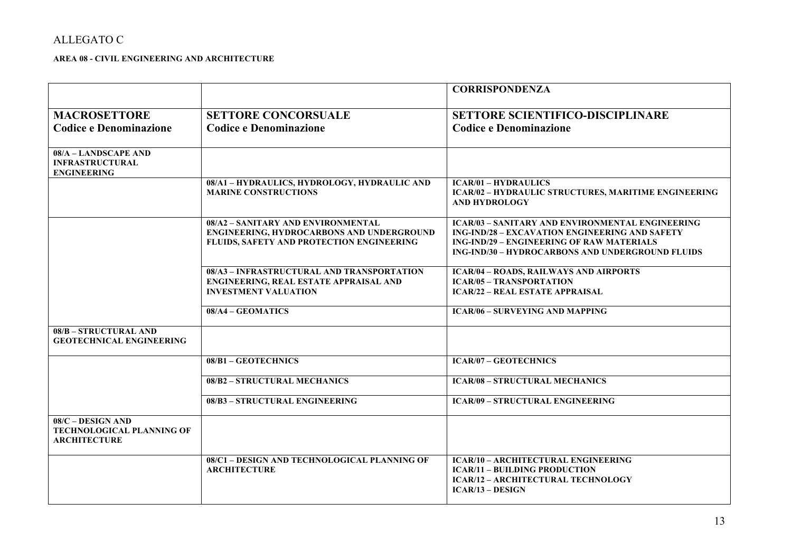### **AREA 08 - CIVIL ENGINEERING AND ARCHITECTURE**

|                                                                                |                                                                                                                                     | <b>CORRISPONDENZA</b>                                                                                                                                                                                                           |
|--------------------------------------------------------------------------------|-------------------------------------------------------------------------------------------------------------------------------------|---------------------------------------------------------------------------------------------------------------------------------------------------------------------------------------------------------------------------------|
| <b>MACROSETTORE</b>                                                            | <b>SETTORE CONCORSUALE</b>                                                                                                          | <b>SETTORE SCIENTIFICO-DISCIPLINARE</b>                                                                                                                                                                                         |
| <b>Codice e Denominazione</b>                                                  | <b>Codice e Denominazione</b>                                                                                                       | <b>Codice e Denominazione</b>                                                                                                                                                                                                   |
|                                                                                |                                                                                                                                     |                                                                                                                                                                                                                                 |
| 08/A - LANDSCAPE AND<br><b>INFRASTRUCTURAL</b><br><b>ENGINEERING</b>           |                                                                                                                                     |                                                                                                                                                                                                                                 |
|                                                                                | 08/A1 - HYDRAULICS, HYDROLOGY, HYDRAULIC AND<br><b>MARINE CONSTRUCTIONS</b>                                                         | <b>ICAR/01 - HYDRAULICS</b><br>ICAR/02 - HYDRAULIC STRUCTURES, MARITIME ENGINEERING<br><b>AND HYDROLOGY</b>                                                                                                                     |
|                                                                                | 08/A2 - SANITARY AND ENVIRONMENTAL<br><b>ENGINEERING, HYDROCARBONS AND UNDERGROUND</b><br>FLUIDS, SAFETY AND PROTECTION ENGINEERING | <b>ICAR/03 - SANITARY AND ENVIRONMENTAL ENGINEERING</b><br><b>ING-IND/28 - EXCAVATION ENGINEERING AND SAFETY</b><br><b>ING-IND/29 - ENGINEERING OF RAW MATERIALS</b><br><b>ING-IND/30 - HYDROCARBONS AND UNDERGROUND FLUIDS</b> |
|                                                                                | 08/A3 - INFRASTRUCTURAL AND TRANSPORTATION<br><b>ENGINEERING, REAL ESTATE APPRAISAL AND</b><br><b>INVESTMENT VALUATION</b>          | <b>ICAR/04 - ROADS, RAILWAYS AND AIRPORTS</b><br><b>ICAR/05 - TRANSPORTATION</b><br><b>ICAR/22 – REAL ESTATE APPRAISAL</b>                                                                                                      |
|                                                                                | 08/A4 - GEOMATICS                                                                                                                   | <b>ICAR/06 - SURVEYING AND MAPPING</b>                                                                                                                                                                                          |
| 08/B - STRUCTURAL AND<br><b>GEOTECHNICAL ENGINEERING</b>                       |                                                                                                                                     |                                                                                                                                                                                                                                 |
|                                                                                | 08/B1-GEOTECHNICS                                                                                                                   | <b>ICAR/07 - GEOTECHNICS</b>                                                                                                                                                                                                    |
|                                                                                | 08/B2 - STRUCTURAL MECHANICS                                                                                                        | <b>ICAR/08 - STRUCTURAL MECHANICS</b>                                                                                                                                                                                           |
|                                                                                | 08/B3 - STRUCTURAL ENGINEERING                                                                                                      | <b>ICAR/09 - STRUCTURAL ENGINEERING</b>                                                                                                                                                                                         |
| $08/C - DESIGN AND$<br><b>TECHNOLOGICAL PLANNING OF</b><br><b>ARCHITECTURE</b> |                                                                                                                                     |                                                                                                                                                                                                                                 |
|                                                                                | 08/C1 - DESIGN AND TECHNOLOGICAL PLANNING OF<br><b>ARCHITECTURE</b>                                                                 | <b>ICAR/10 - ARCHITECTURAL ENGINEERING</b><br><b>ICAR/11 - BUILDING PRODUCTION</b><br><b>ICAR/12 - ARCHITECTURAL TECHNOLOGY</b><br>$ICAR/13 - DESIGN$                                                                           |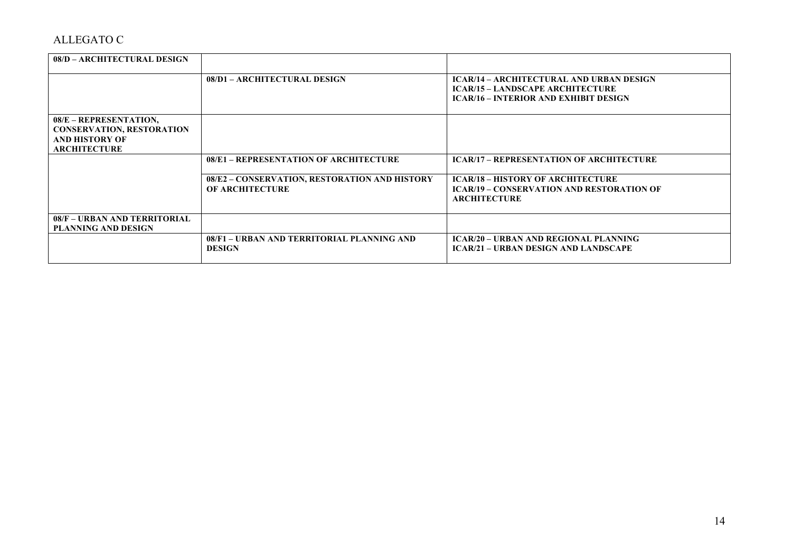| 08/D – ARCHITECTURAL DESIGN                                                                                |                                                                         |                                                                                                                                            |
|------------------------------------------------------------------------------------------------------------|-------------------------------------------------------------------------|--------------------------------------------------------------------------------------------------------------------------------------------|
|                                                                                                            | 08/D1 - ARCHITECTURAL DESIGN                                            | <b>ICAR/14 - ARCHITECTURAL AND URBAN DESIGN</b><br><b>ICAR/15 - LANDSCAPE ARCHITECTURE</b><br><b>ICAR/16 - INTERIOR AND EXHIBIT DESIGN</b> |
| 08/E - REPRESENTATION,<br><b>CONSERVATION, RESTORATION</b><br><b>AND HISTORY OF</b><br><b>ARCHITECTURE</b> |                                                                         |                                                                                                                                            |
|                                                                                                            | 08/E1 - REPRESENTATION OF ARCHITECTURE                                  | <b>ICAR/17 – REPRESENTATION OF ARCHITECTURE</b>                                                                                            |
|                                                                                                            | 08/E2 - CONSERVATION, RESTORATION AND HISTORY<br><b>OF ARCHITECTURE</b> | <b>ICAR/18 - HISTORY OF ARCHITECTURE</b><br><b>ICAR/19 – CONSERVATION AND RESTORATION OF</b><br><b>ARCHITECTURE</b>                        |
| 08/F - URBAN AND TERRITORIAL<br><b>PLANNING AND DESIGN</b>                                                 |                                                                         |                                                                                                                                            |
|                                                                                                            | 08/F1 - URBAN AND TERRITORIAL PLANNING AND<br><b>DESIGN</b>             | <b>ICAR/20 - URBAN AND REGIONAL PLANNING</b><br><b>ICAR/21 – URBAN DESIGN AND LANDSCAPE</b>                                                |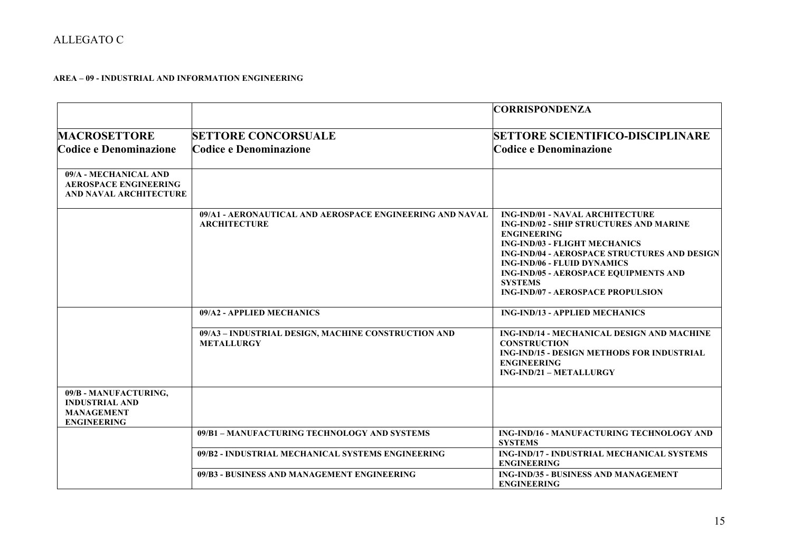### **AREA – 09 - INDUSTRIAL AND INFORMATION ENGINEERING**

|                                                                                           |                                                                                 | <b>CORRISPONDENZA</b>                                                                                                                                                                                                                                                                                                                                             |
|-------------------------------------------------------------------------------------------|---------------------------------------------------------------------------------|-------------------------------------------------------------------------------------------------------------------------------------------------------------------------------------------------------------------------------------------------------------------------------------------------------------------------------------------------------------------|
| <b>MACROSETTORE</b><br>Codice e Denominazione                                             | <b>SETTORE CONCORSUALE</b><br>Codice e Denominazione                            | <b>SETTORE SCIENTIFICO-DISCIPLINARE</b><br>Codice e Denominazione                                                                                                                                                                                                                                                                                                 |
| 09/A - MECHANICAL AND<br><b>AEROSPACE ENGINEERING</b><br><b>AND NAVAL ARCHITECTURE</b>    |                                                                                 |                                                                                                                                                                                                                                                                                                                                                                   |
|                                                                                           | 09/A1 - AERONAUTICAL AND AEROSPACE ENGINEERING AND NAVAL<br><b>ARCHITECTURE</b> | <b>ING-IND/01 - NAVAL ARCHITECTURE</b><br><b>ING-IND/02 - SHIP STRUCTURES AND MARINE</b><br><b>ENGINEERING</b><br><b>ING-IND/03 - FLIGHT MECHANICS</b><br><b>ING-IND/04 - AEROSPACE STRUCTURES AND DESIGN</b><br><b>ING-IND/06 - FLUID DYNAMICS</b><br><b>ING-IND/05 - AEROSPACE EQUIPMENTS AND</b><br><b>SYSTEMS</b><br><b>ING-IND/07 - AEROSPACE PROPULSION</b> |
|                                                                                           | 09/A2 - APPLIED MECHANICS                                                       | <b>ING-IND/13 - APPLIED MECHANICS</b>                                                                                                                                                                                                                                                                                                                             |
|                                                                                           | 09/A3 - INDUSTRIAL DESIGN, MACHINE CONSTRUCTION AND<br><b>METALLURGY</b>        | <b>ING-IND/14 - MECHANICAL DESIGN AND MACHINE</b><br><b>CONSTRUCTION</b><br><b>ING-IND/15 - DESIGN METHODS FOR INDUSTRIAL</b><br><b>ENGINEERING</b><br><b>ING-IND/21 - METALLURGY</b>                                                                                                                                                                             |
| 09/B - MANUFACTURING,<br><b>INDUSTRIAL AND</b><br><b>MANAGEMENT</b><br><b>ENGINEERING</b> |                                                                                 |                                                                                                                                                                                                                                                                                                                                                                   |
|                                                                                           | 09/B1 - MANUFACTURING TECHNOLOGY AND SYSTEMS                                    | ING-IND/16 - MANUFACTURING TECHNOLOGY AND<br><b>SYSTEMS</b>                                                                                                                                                                                                                                                                                                       |
|                                                                                           | 09/B2 - INDUSTRIAL MECHANICAL SYSTEMS ENGINEERING                               | ING-IND/17 - INDUSTRIAL MECHANICAL SYSTEMS<br><b>ENGINEERING</b>                                                                                                                                                                                                                                                                                                  |
|                                                                                           | 09/B3 - BUSINESS AND MANAGEMENT ENGINEERING                                     | <b>ING-IND/35 - BUSINESS AND MANAGEMENT</b><br><b>ENGINEERING</b>                                                                                                                                                                                                                                                                                                 |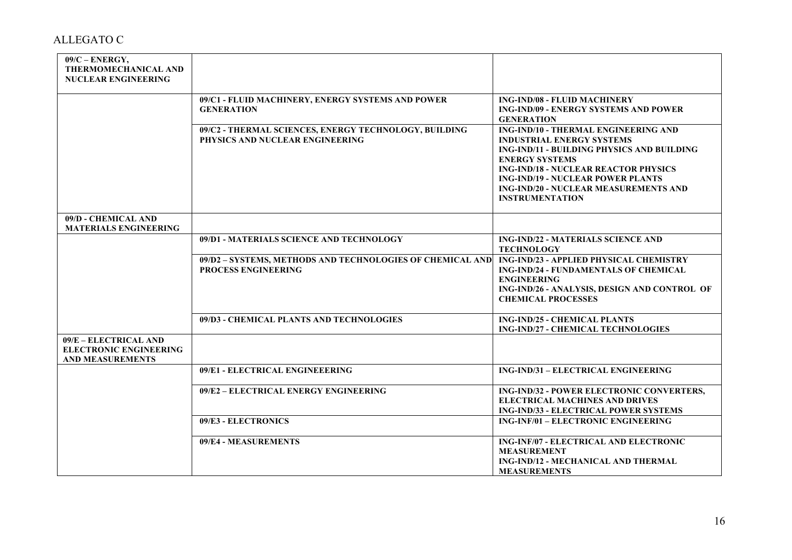| $09/C - ENERGY$ ,<br>THERMOMECHANICAL AND<br><b>NUCLEAR ENGINEERING</b>           |                                                                                          |                                                                                                                                                                                                                                                                                                                      |
|-----------------------------------------------------------------------------------|------------------------------------------------------------------------------------------|----------------------------------------------------------------------------------------------------------------------------------------------------------------------------------------------------------------------------------------------------------------------------------------------------------------------|
|                                                                                   | 09/C1 - FLUID MACHINERY, ENERGY SYSTEMS AND POWER<br><b>GENERATION</b>                   | <b>ING-IND/08 - FLUID MACHINERY</b><br><b>ING-IND/09 - ENERGY SYSTEMS AND POWER</b><br><b>GENERATION</b>                                                                                                                                                                                                             |
|                                                                                   | 09/C2 - THERMAL SCIENCES, ENERGY TECHNOLOGY, BUILDING<br>PHYSICS AND NUCLEAR ENGINEERING | ING-IND/10 - THERMAL ENGINEERING AND<br><b>INDUSTRIAL ENERGY SYSTEMS</b><br>ING-IND/11 - BUILDING PHYSICS AND BUILDING<br><b>ENERGY SYSTEMS</b><br><b>ING-IND/18 - NUCLEAR REACTOR PHYSICS</b><br><b>ING-IND/19 - NUCLEAR POWER PLANTS</b><br><b>ING-IND/20 - NUCLEAR MEASUREMENTS AND</b><br><b>INSTRUMENTATION</b> |
| 09/D - CHEMICAL AND<br><b>MATERIALS ENGINEERING</b>                               |                                                                                          |                                                                                                                                                                                                                                                                                                                      |
|                                                                                   | 09/D1 - MATERIALS SCIENCE AND TECHNOLOGY                                                 | <b>ING-IND/22 - MATERIALS SCIENCE AND</b><br><b>TECHNOLOGY</b>                                                                                                                                                                                                                                                       |
|                                                                                   | 09/D2 - SYSTEMS, METHODS AND TECHNOLOGIES OF CHEMICAL AND<br><b>PROCESS ENGINEERING</b>  | ING-IND/23 - APPLIED PHYSICAL CHEMISTRY<br>ING-IND/24 - FUNDAMENTALS OF CHEMICAL<br><b>ENGINEERING</b><br>ING-IND/26 - ANALYSIS, DESIGN AND CONTROL OF<br><b>CHEMICAL PROCESSES</b>                                                                                                                                  |
|                                                                                   | 09/D3 - CHEMICAL PLANTS AND TECHNOLOGIES                                                 | <b>ING-IND/25 - CHEMICAL PLANTS</b><br>ING-IND/27 - CHEMICAL TECHNOLOGIES                                                                                                                                                                                                                                            |
| 09/E - ELECTRICAL AND<br><b>ELECTRONIC ENGINEERING</b><br><b>AND MEASUREMENTS</b> |                                                                                          |                                                                                                                                                                                                                                                                                                                      |
|                                                                                   | 09/E1 - ELECTRICAL ENGINEEERING                                                          | ING-IND/31 - ELECTRICAL ENGINEERING                                                                                                                                                                                                                                                                                  |
|                                                                                   | 09/E2 - ELECTRICAL ENERGY ENGINEERING                                                    | ING-IND/32 - POWER ELECTRONIC CONVERTERS,<br><b>ELECTRICAL MACHINES AND DRIVES</b><br><b>ING-IND/33 - ELECTRICAL POWER SYSTEMS</b>                                                                                                                                                                                   |
|                                                                                   | 09/E3 - ELECTRONICS                                                                      | <b>ING-INF/01 - ELECTRONIC ENGINEERING</b>                                                                                                                                                                                                                                                                           |
|                                                                                   | 09/E4 - MEASUREMENTS                                                                     | ING-INF/07 - ELECTRICAL AND ELECTRONIC<br><b>MEASUREMENT</b><br><b>ING-IND/12 - MECHANICAL AND THERMAL</b><br><b>MEASUREMENTS</b>                                                                                                                                                                                    |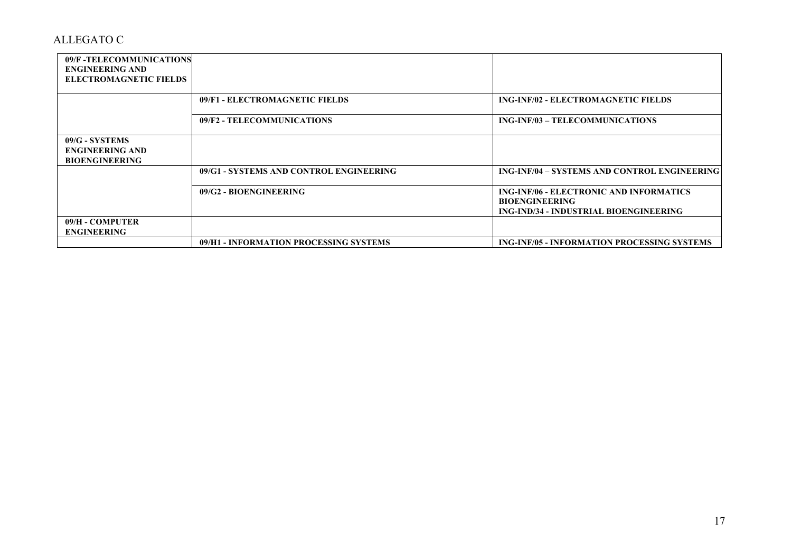| 09/F -TELECOMMUNICATIONS<br><b>ENGINEERING AND</b>                |                                         |                                                                                                                   |
|-------------------------------------------------------------------|-----------------------------------------|-------------------------------------------------------------------------------------------------------------------|
| <b>ELECTROMAGNETIC FIELDS</b>                                     |                                         |                                                                                                                   |
|                                                                   | 09/F1 - ELECTROMAGNETIC FIELDS          | <b>ING-INF/02 - ELECTROMAGNETIC FIELDS</b>                                                                        |
|                                                                   | 09/F2 - TELECOMMUNICATIONS              | ING-INF/03 - TELECOMMUNICATIONS                                                                                   |
| 09/G - SYSTEMS<br><b>ENGINEERING AND</b><br><b>BIOENGINEERING</b> |                                         |                                                                                                                   |
|                                                                   | 09/G1 - SYSTEMS AND CONTROL ENGINEERING | ING-INF/04 – SYSTEMS AND CONTROL ENGINEERING                                                                      |
|                                                                   | 09/G2 - BIOENGINEERING                  | <b>ING-INF/06 - ELECTRONIC AND INFORMATICS</b><br><b>BIOENGINEERING</b><br>ING-IND/34 - INDUSTRIAL BIOENGINEERING |
| 09/H - COMPUTER<br><b>ENGINEERING</b>                             |                                         |                                                                                                                   |
|                                                                   | 09/H1 - INFORMATION PROCESSING SYSTEMS  | <b>ING-INF/05 - INFORMATION PROCESSING SYSTEMS</b>                                                                |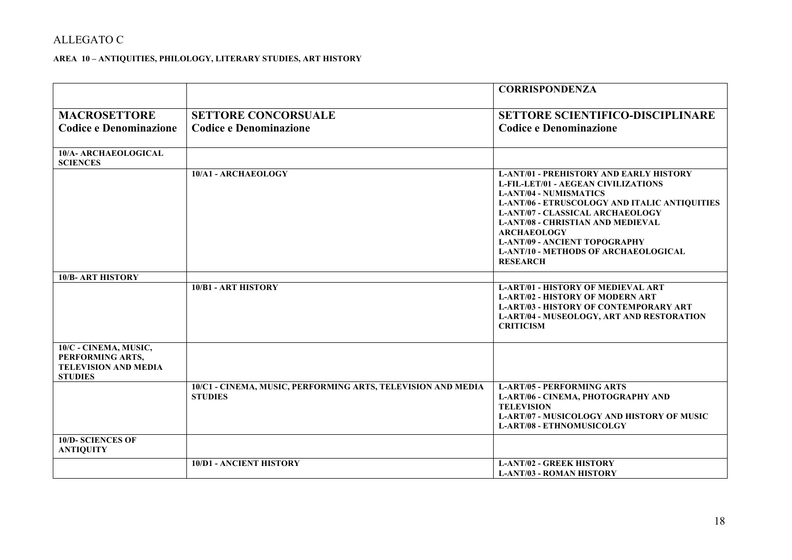### **AREA 10 – ANTIQUITIES, PHILOLOGY, LITERARY STUDIES, ART HISTORY**

|                                                                                            |                                                                                | <b>CORRISPONDENZA</b>                                                                                                                                                                                                                                                                                                                                                                          |
|--------------------------------------------------------------------------------------------|--------------------------------------------------------------------------------|------------------------------------------------------------------------------------------------------------------------------------------------------------------------------------------------------------------------------------------------------------------------------------------------------------------------------------------------------------------------------------------------|
| <b>MACROSETTORE</b><br><b>Codice e Denominazione</b>                                       | <b>SETTORE CONCORSUALE</b><br><b>Codice e Denominazione</b>                    | <b>SETTORE SCIENTIFICO-DISCIPLINARE</b><br><b>Codice e Denominazione</b>                                                                                                                                                                                                                                                                                                                       |
| 10/A- ARCHAEOLOGICAL<br><b>SCIENCES</b>                                                    |                                                                                |                                                                                                                                                                                                                                                                                                                                                                                                |
|                                                                                            | 10/A1 - ARCHAEOLOGY                                                            | <b>L-ANT/01 - PREHISTORY AND EARLY HISTORY</b><br>L-FIL-LET/01 - AEGEAN CIVILIZATIONS<br><b>L-ANT/04 - NUMISMATICS</b><br>L-ANT/06 - ETRUSCOLOGY AND ITALIC ANTIQUITIES<br><b>L-ANT/07 - CLASSICAL ARCHAEOLOGY</b><br><b>L-ANT/08 - CHRISTIAN AND MEDIEVAL</b><br><b>ARCHAEOLOGY</b><br><b>L-ANT/09 - ANCIENT TOPOGRAPHY</b><br><b>L-ANT/10 - METHODS OF ARCHAEOLOGICAL</b><br><b>RESEARCH</b> |
| <b>10/B- ART HISTORY</b>                                                                   |                                                                                |                                                                                                                                                                                                                                                                                                                                                                                                |
|                                                                                            | 10/B1 - ART HISTORY                                                            | <b>L-ART/01 - HISTORY OF MEDIEVAL ART</b><br><b>L-ART/02 - HISTORY OF MODERN ART</b><br><b>L-ART/03 - HISTORY OF CONTEMPORARY ART</b><br>L-ART/04 - MUSEOLOGY, ART AND RESTORATION<br><b>CRITICISM</b>                                                                                                                                                                                         |
| 10/C - CINEMA, MUSIC,<br>PERFORMING ARTS,<br><b>TELEVISION AND MEDIA</b><br><b>STUDIES</b> |                                                                                |                                                                                                                                                                                                                                                                                                                                                                                                |
|                                                                                            | 10/C1 - CINEMA, MUSIC, PERFORMING ARTS, TELEVISION AND MEDIA<br><b>STUDIES</b> | <b>L-ART/05 - PERFORMING ARTS</b><br>L-ART/06 - CINEMA, PHOTOGRAPHY AND<br><b>TELEVISION</b><br>L-ART/07 - MUSICOLOGY AND HISTORY OF MUSIC<br><b>L-ART/08 - ETHNOMUSICOLGY</b>                                                                                                                                                                                                                 |
| <b>10/D- SCIENCES OF</b><br><b>ANTIQUITY</b>                                               |                                                                                |                                                                                                                                                                                                                                                                                                                                                                                                |
|                                                                                            | <b>10/D1 - ANCIENT HISTORY</b>                                                 | <b>L-ANT/02 - GREEK HISTORY</b><br><b>L-ANT/03 - ROMAN HISTORY</b>                                                                                                                                                                                                                                                                                                                             |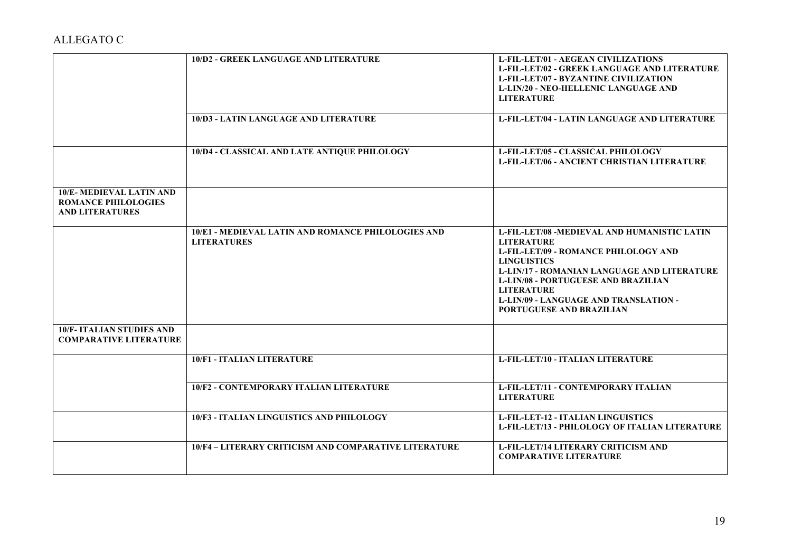|                                                                                 | 10/D2 - GREEK LANGUAGE AND LITERATURE                                    | <b>L-FIL-LET/01 - AEGEAN CIVILIZATIONS</b><br><b>L-FIL-LET/02 - GREEK LANGUAGE AND LITERATURE</b><br><b>L-FIL-LET/07 - BYZANTINE CIVILIZATION</b><br><b>L-LIN/20 - NEO-HELLENIC LANGUAGE AND</b><br><b>LITERATURE</b>                                                                                                                      |
|---------------------------------------------------------------------------------|--------------------------------------------------------------------------|--------------------------------------------------------------------------------------------------------------------------------------------------------------------------------------------------------------------------------------------------------------------------------------------------------------------------------------------|
|                                                                                 | 10/D3 - LATIN LANGUAGE AND LITERATURE                                    | L-FIL-LET/04 - LATIN LANGUAGE AND LITERATURE                                                                                                                                                                                                                                                                                               |
|                                                                                 | 10/D4 - CLASSICAL AND LATE ANTIQUE PHILOLOGY                             | L-FIL-LET/05 - CLASSICAL PHILOLOGY<br>L-FIL-LET/06 - ANCIENT CHRISTIAN LITERATURE                                                                                                                                                                                                                                                          |
| 10/E-MEDIEVAL LATIN AND<br><b>ROMANCE PHILOLOGIES</b><br><b>AND LITERATURES</b> |                                                                          |                                                                                                                                                                                                                                                                                                                                            |
|                                                                                 | 10/E1 - MEDIEVAL LATIN AND ROMANCE PHILOLOGIES AND<br><b>LITERATURES</b> | L-FIL-LET/08 -MEDIEVAL AND HUMANISTIC LATIN<br><b>LITERATURE</b><br>L-FIL-LET/09 - ROMANCE PHILOLOGY AND<br><b>LINGUISTICS</b><br><b>L-LIN/17 - ROMANIAN LANGUAGE AND LITERATURE</b><br><b>L-LIN/08 - PORTUGUESE AND BRAZILIAN</b><br><b>LITERATURE</b><br><b>L-LIN/09 - LANGUAGE AND TRANSLATION -</b><br><b>PORTUGUESE AND BRAZILIAN</b> |
| <b>10/F- ITALIAN STUDIES AND</b><br><b>COMPARATIVE LITERATURE</b>               |                                                                          |                                                                                                                                                                                                                                                                                                                                            |
|                                                                                 | 10/F1 - ITALIAN LITERATURE                                               | L-FIL-LET/10 - ITALIAN LITERATURE                                                                                                                                                                                                                                                                                                          |
|                                                                                 | <b>10/F2 - CONTEMPORARY ITALIAN LITERATURE</b>                           | L-FIL-LET/11 - CONTEMPORARY ITALIAN<br><b>LITERATURE</b>                                                                                                                                                                                                                                                                                   |
|                                                                                 | 10/F3 - ITALIAN LINGUISTICS AND PHILOLOGY                                | <b>L-FIL-LET-12 - ITALIAN LINGUISTICS</b><br>L-FIL-LET/13 - PHILOLOGY OF ITALIAN LITERATURE                                                                                                                                                                                                                                                |
|                                                                                 | 10/F4 - LITERARY CRITICISM AND COMPARATIVE LITERATURE                    | L-FIL-LET/14 LITERARY CRITICISM AND<br><b>COMPARATIVE LITERATURE</b>                                                                                                                                                                                                                                                                       |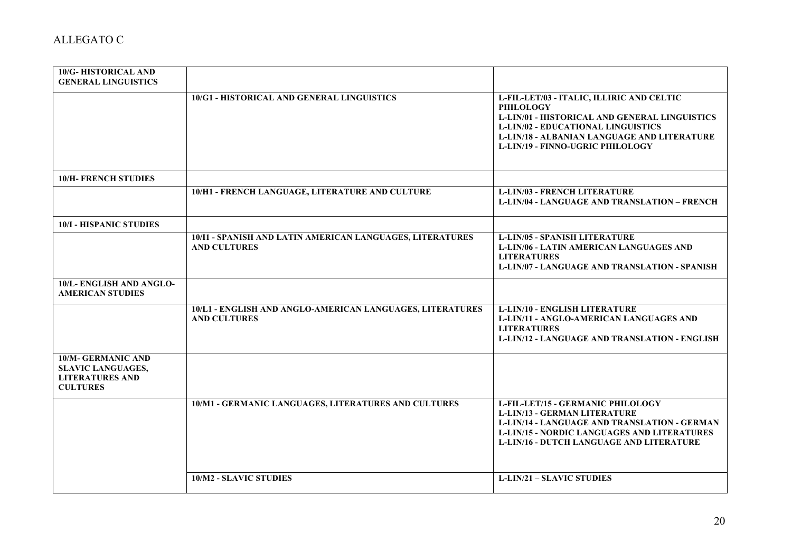| 10/G-HISTORICAL AND<br><b>GENERAL LINGUISTICS</b>                                                  |                                                                                  |                                                                                                                                                                                                                                                              |
|----------------------------------------------------------------------------------------------------|----------------------------------------------------------------------------------|--------------------------------------------------------------------------------------------------------------------------------------------------------------------------------------------------------------------------------------------------------------|
|                                                                                                    | 10/G1 - HISTORICAL AND GENERAL LINGUISTICS                                       | L-FIL-LET/03 - ITALIC, ILLIRIC AND CELTIC<br><b>PHILOLOGY</b><br><b>L-LIN/01 - HISTORICAL AND GENERAL LINGUISTICS</b><br><b>L-LIN/02 - EDUCATIONAL LINGUISTICS</b><br>L-LIN/18 - ALBANIAN LANGUAGE AND LITERATURE<br><b>L-LIN/19 - FINNO-UGRIC PHILOLOGY</b> |
| <b>10/H- FRENCH STUDIES</b>                                                                        |                                                                                  |                                                                                                                                                                                                                                                              |
|                                                                                                    | 10/H1 - FRENCH LANGUAGE, LITERATURE AND CULTURE                                  | <b>L-LIN/03 - FRENCH LITERATURE</b><br><b>L-LIN/04 - LANGUAGE AND TRANSLATION - FRENCH</b>                                                                                                                                                                   |
| <b>10/I - HISPANIC STUDIES</b>                                                                     |                                                                                  |                                                                                                                                                                                                                                                              |
|                                                                                                    | 10/I1 - SPANISH AND LATIN AMERICAN LANGUAGES, LITERATURES<br><b>AND CULTURES</b> | <b>L-LIN/05 - SPANISH LITERATURE</b><br><b>L-LIN/06 - LATIN AMERICAN LANGUAGES AND</b><br><b>LITERATURES</b><br><b>L-LIN/07 - LANGUAGE AND TRANSLATION - SPANISH</b>                                                                                         |
| 10/L-ENGLISH AND ANGLO-<br><b>AMERICAN STUDIES</b>                                                 |                                                                                  |                                                                                                                                                                                                                                                              |
|                                                                                                    | 10/L1 - ENGLISH AND ANGLO-AMERICAN LANGUAGES, LITERATURES<br><b>AND CULTURES</b> | <b>L-LIN/10 - ENGLISH LITERATURE</b><br>L-LIN/11 - ANGLO-AMERICAN LANGUAGES AND<br><b>LITERATURES</b><br><b>L-LIN/12 - LANGUAGE AND TRANSLATION - ENGLISH</b>                                                                                                |
| <b>10/M- GERMANIC AND</b><br><b>SLAVIC LANGUAGES,</b><br><b>LITERATURES AND</b><br><b>CULTURES</b> |                                                                                  |                                                                                                                                                                                                                                                              |
|                                                                                                    | 10/M1 - GERMANIC LANGUAGES, LITERATURES AND CULTURES                             | L-FIL-LET/15 - GERMANIC PHILOLOGY<br><b>L-LIN/13 - GERMAN LITERATURE</b><br><b>L-LIN/14 - LANGUAGE AND TRANSLATION - GERMAN</b><br><b>L-LIN/15 - NORDIC LANGUAGES AND LITERATURES</b><br><b>L-LIN/16 - DUTCH LANGUAGE AND LITERATURE</b>                     |
|                                                                                                    | 10/M2 - SLAVIC STUDIES                                                           | <b>L-LIN/21 - SLAVIC STUDIES</b>                                                                                                                                                                                                                             |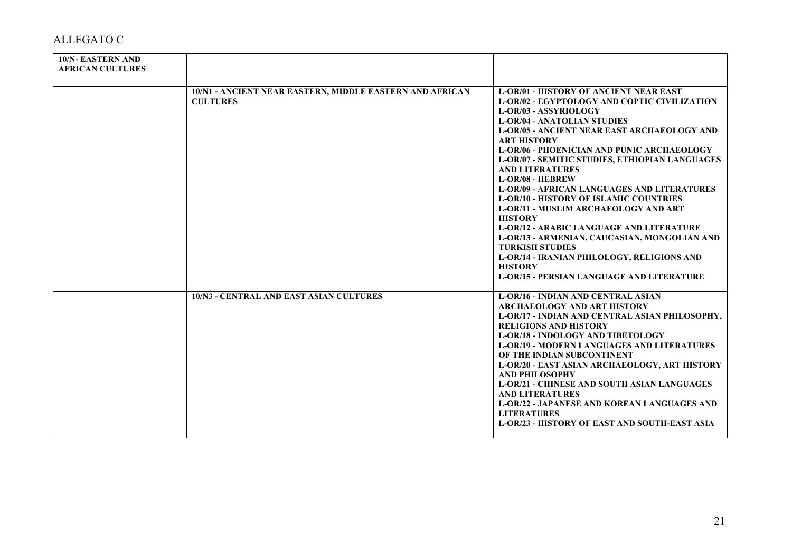| <b>10/N- EASTERN AND</b><br><b>AFRICAN CULTURES</b> |                                                                             |                                                                                                                                                                                                                                                                                                                                                                                                                                                                                                                                                                                                                                                                                                                                                                                                                               |
|-----------------------------------------------------|-----------------------------------------------------------------------------|-------------------------------------------------------------------------------------------------------------------------------------------------------------------------------------------------------------------------------------------------------------------------------------------------------------------------------------------------------------------------------------------------------------------------------------------------------------------------------------------------------------------------------------------------------------------------------------------------------------------------------------------------------------------------------------------------------------------------------------------------------------------------------------------------------------------------------|
|                                                     | 10/N1 - ANCIENT NEAR EASTERN, MIDDLE EASTERN AND AFRICAN<br><b>CULTURES</b> | <b>L-OR/01 - HISTORY OF ANCIENT NEAR EAST</b><br>L-OR/02 - EGYPTOLOGY AND COPTIC CIVILIZATION<br>L-OR/03 - ASSYRIOLOGY<br><b>L-OR/04 - ANATOLIAN STUDIES</b><br><b>L-OR/05 - ANCIENT NEAR EAST ARCHAEOLOGY AND</b><br><b>ART HISTORY</b><br><b>L-OR/06 - PHOENICIAN AND PUNIC ARCHAEOLOGY</b><br>L-OR/07 - SEMITIC STUDIES, ETHIOPIAN LANGUAGES<br><b>AND LITERATURES</b><br><b>L-OR/08 - HEBREW</b><br><b>L-OR/09 - AFRICAN LANGUAGES AND LITERATURES</b><br><b>L-OR/10 - HISTORY OF ISLAMIC COUNTRIES</b><br><b>L-OR/11 - MUSLIM ARCHAEOLOGY AND ART</b><br><b>HISTORY</b><br><b>L-OR/12 - ARABIC LANGUAGE AND LITERATURE</b><br>L-OR/13 - ARMENIAN, CAUCASIAN, MONGOLIAN AND<br><b>TURKISH STUDIES</b><br>L-OR/14 - IRANIAN PHILOLOGY, RELIGIONS AND<br><b>HISTORY</b><br><b>L-OR/15 - PERSIAN LANGUAGE AND LITERATURE</b> |
|                                                     | <b>10/N3 - CENTRAL AND EAST ASIAN CULTURES</b>                              | <b>L-OR/16 - INDIAN AND CENTRAL ASIAN</b><br><b>ARCHAEOLOGY AND ART HISTORY</b><br>L-OR/17 - INDIAN AND CENTRAL ASIAN PHILOSOPHY,<br><b>RELIGIONS AND HISTORY</b><br><b>L-OR/18 - INDOLOGY AND TIBETOLOGY</b><br><b>L-OR/19 - MODERN LANGUAGES AND LITERATURES</b><br>OF THE INDIAN SUBCONTINENT<br>L-OR/20 - EAST ASIAN ARCHAEOLOGY, ART HISTORY<br><b>AND PHILOSOPHY</b><br><b>L-OR/21 - CHINESE AND SOUTH ASIAN LANGUAGES</b><br><b>AND LITERATURES</b><br><b>L-OR/22 - JAPANESE AND KOREAN LANGUAGES AND</b><br><b>LITERATURES</b><br><b>L-OR/23 - HISTORY OF EAST AND SOUTH-EAST ASIA</b>                                                                                                                                                                                                                                |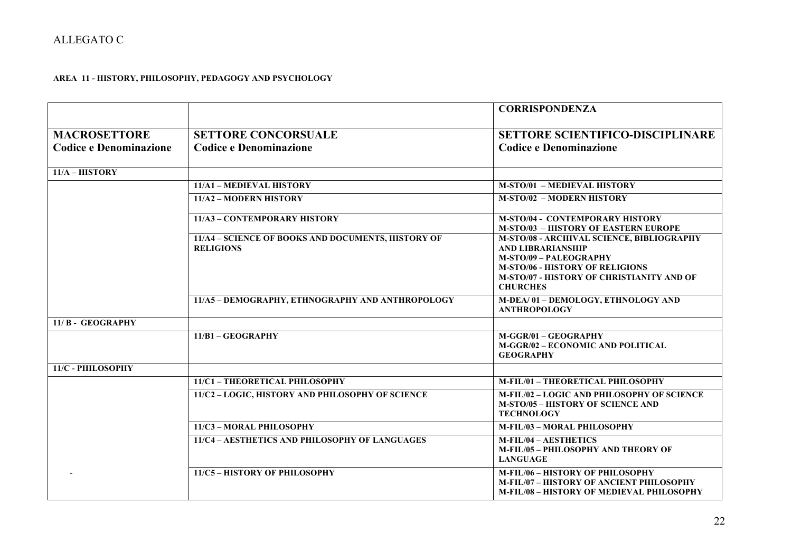### **AREA 11 - HISTORY, PHILOSOPHY, PEDAGOGY AND PSYCHOLOGY**

|                               |                                                                        | <b>CORRISPONDENZA</b>                                                                                                                                                                                                   |
|-------------------------------|------------------------------------------------------------------------|-------------------------------------------------------------------------------------------------------------------------------------------------------------------------------------------------------------------------|
| <b>MACROSETTORE</b>           | <b>SETTORE CONCORSUALE</b>                                             | <b>SETTORE SCIENTIFICO-DISCIPLINARE</b>                                                                                                                                                                                 |
| <b>Codice e Denominazione</b> | <b>Codice e Denominazione</b>                                          | <b>Codice e Denominazione</b>                                                                                                                                                                                           |
| $11/A - HISTORY$              |                                                                        |                                                                                                                                                                                                                         |
|                               | 11/A1 - MEDIEVAL HISTORY                                               | <b>M-STO/01 - MEDIEVAL HISTORY</b>                                                                                                                                                                                      |
|                               | 11/A2 - MODERN HISTORY                                                 | <b>M-STO/02 - MODERN HISTORY</b>                                                                                                                                                                                        |
|                               | 11/A3 - CONTEMPORARY HISTORY                                           | <b>M-STO/04 - CONTEMPORARY HISTORY</b><br><b>M-STO/03 - HISTORY OF EASTERN EUROPE</b>                                                                                                                                   |
|                               | 11/A4 - SCIENCE OF BOOKS AND DOCUMENTS, HISTORY OF<br><b>RELIGIONS</b> | M-STO/08 - ARCHIVAL SCIENCE, BIBLIOGRAPHY<br><b>AND LIBRARIANSHIP</b><br><b>M-STO/09 - PALEOGRAPHY</b><br><b>M-STO/06 - HISTORY OF RELIGIONS</b><br><b>M-STO/07 - HISTORY OF CHRISTIANITY AND OF</b><br><b>CHURCHES</b> |
|                               | 11/A5 - DEMOGRAPHY, ETHNOGRAPHY AND ANTHROPOLOGY                       | M-DEA/01 - DEMOLOGY, ETHNOLOGY AND<br><b>ANTHROPOLOGY</b>                                                                                                                                                               |
| 11/B - GEOGRAPHY              |                                                                        |                                                                                                                                                                                                                         |
|                               | 11/B1 - GEOGRAPHY                                                      | M-GGR/01 - GEOGRAPHY<br>M-GGR/02 - ECONOMIC AND POLITICAL<br><b>GEOGRAPHY</b>                                                                                                                                           |
| 11/C - PHILOSOPHY             |                                                                        |                                                                                                                                                                                                                         |
|                               | 11/C1 - THEORETICAL PHILOSOPHY                                         | M-FIL/01 - THEORETICAL PHILOSOPHY                                                                                                                                                                                       |
|                               | 11/C2 - LOGIC, HISTORY AND PHILOSOPHY OF SCIENCE                       | M-FIL/02 - LOGIC AND PHILOSOPHY OF SCIENCE<br><b>M-STO/05 - HISTORY OF SCIENCE AND</b><br><b>TECHNOLOGY</b>                                                                                                             |
|                               | 11/C3 - MORAL PHILOSOPHY                                               | M-FIL/03 - MORAL PHILOSOPHY                                                                                                                                                                                             |
|                               | 11/C4 - AESTHETICS AND PHILOSOPHY OF LANGUAGES                         | M-FIL/04 - AESTHETICS<br>M-FIL/05 - PHILOSOPHY AND THEORY OF<br><b>LANGUAGE</b>                                                                                                                                         |
|                               | 11/C5 - HISTORY OF PHILOSOPHY                                          | M-FIL/06 - HISTORY OF PHILOSOPHY<br>M-FIL/07 - HISTORY OF ANCIENT PHILOSOPHY<br><b>M-FIL/08 - HISTORY OF MEDIEVAL PHILOSOPHY</b>                                                                                        |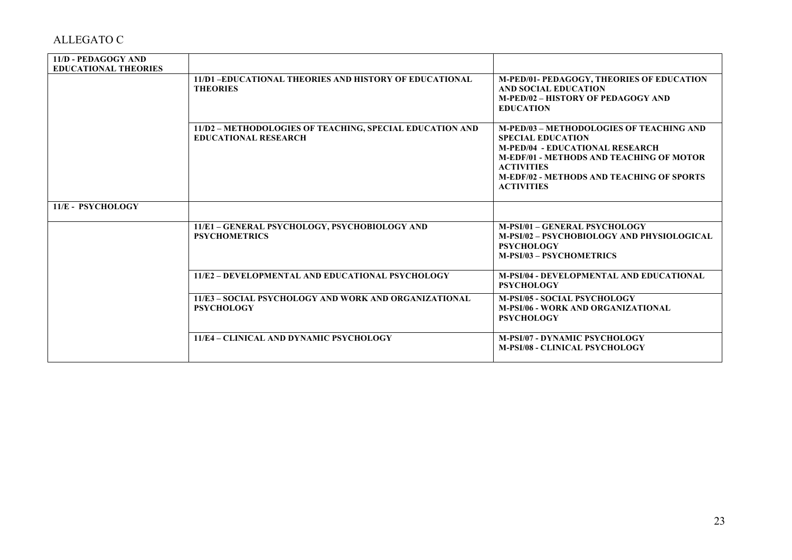| 11/D - PEDAGOGY AND         |                                                                                         |                                                                                                                                                                                                                                                                        |
|-----------------------------|-----------------------------------------------------------------------------------------|------------------------------------------------------------------------------------------------------------------------------------------------------------------------------------------------------------------------------------------------------------------------|
| <b>EDUCATIONAL THEORIES</b> |                                                                                         |                                                                                                                                                                                                                                                                        |
|                             | 11/D1-EDUCATIONAL THEORIES AND HISTORY OF EDUCATIONAL<br><b>THEORIES</b>                | <b>M-PED/01- PEDAGOGY, THEORIES OF EDUCATION</b><br><b>AND SOCIAL EDUCATION</b><br><b>M-PED/02 - HISTORY OF PEDAGOGY AND</b><br><b>EDUCATION</b>                                                                                                                       |
|                             | 11/D2 - METHODOLOGIES OF TEACHING, SPECIAL EDUCATION AND<br><b>EDUCATIONAL RESEARCH</b> | <b>M-PED/03 - METHODOLOGIES OF TEACHING AND</b><br><b>SPECIAL EDUCATION</b><br><b>M-PED/04 - EDUCATIONAL RESEARCH</b><br><b>M-EDF/01 - METHODS AND TEACHING OF MOTOR</b><br><b>ACTIVITIES</b><br><b>M-EDF/02 - METHODS AND TEACHING OF SPORTS</b><br><b>ACTIVITIES</b> |
| 11/E - PSYCHOLOGY           |                                                                                         |                                                                                                                                                                                                                                                                        |
|                             | 11/E1 - GENERAL PSYCHOLOGY, PSYCHOBIOLOGY AND<br><b>PSYCHOMETRICS</b>                   | M-PSI/01 - GENERAL PSYCHOLOGY<br>M-PSI/02 - PSYCHOBIOLOGY AND PHYSIOLOGICAL<br><b>PSYCHOLOGY</b><br><b>M-PSI/03 - PSYCHOMETRICS</b>                                                                                                                                    |
|                             | 11/E2 - DEVELOPMENTAL AND EDUCATIONAL PSYCHOLOGY                                        | <b>M-PSI/04 - DEVELOPMENTAL AND EDUCATIONAL</b><br><b>PSYCHOLOGY</b>                                                                                                                                                                                                   |
|                             | 11/E3 - SOCIAL PSYCHOLOGY AND WORK AND ORGANIZATIONAL<br><b>PSYCHOLOGY</b>              | <b>M-PSI/05 - SOCIAL PSYCHOLOGY</b><br><b>M-PSI/06 - WORK AND ORGANIZATIONAL</b><br><b>PSYCHOLOGY</b>                                                                                                                                                                  |
|                             | 11/E4 - CLINICAL AND DYNAMIC PSYCHOLOGY                                                 | <b>M-PSI/07 - DYNAMIC PSYCHOLOGY</b><br><b>M-PSI/08 - CLINICAL PSYCHOLOGY</b>                                                                                                                                                                                          |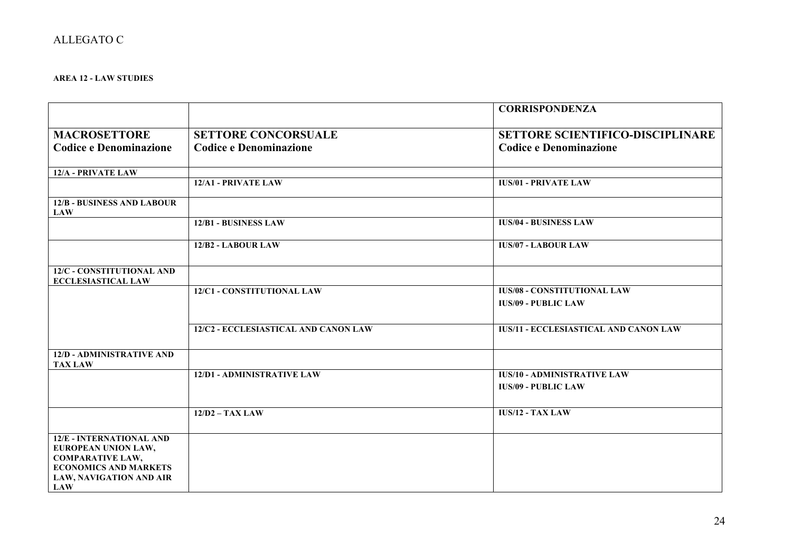### **AREA 12 - LAW STUDIES**

|                                                                                                                                                            |                                      | <b>CORRISPONDENZA</b>                                            |
|------------------------------------------------------------------------------------------------------------------------------------------------------------|--------------------------------------|------------------------------------------------------------------|
| <b>MACROSETTORE</b>                                                                                                                                        | <b>SETTORE CONCORSUALE</b>           | <b>SETTORE SCIENTIFICO-DISCIPLINARE</b>                          |
| <b>Codice e Denominazione</b>                                                                                                                              | <b>Codice e Denominazione</b>        | <b>Codice e Denominazione</b>                                    |
| 12/A - PRIVATE LAW                                                                                                                                         |                                      |                                                                  |
|                                                                                                                                                            | 12/A1 - PRIVATE LAW                  | <b>IUS/01 - PRIVATE LAW</b>                                      |
| <b>12/B - BUSINESS AND LABOUR</b><br><b>LAW</b>                                                                                                            |                                      |                                                                  |
|                                                                                                                                                            | 12/B1 - BUSINESS LAW                 | <b>IUS/04 - BUSINESS LAW</b>                                     |
|                                                                                                                                                            | 12/B <sub>2</sub> - LABOUR LAW       | <b>IUS/07 - LABOUR LAW</b>                                       |
| 12/C - CONSTITUTIONAL AND<br><b>ECCLESIASTICAL LAW</b>                                                                                                     |                                      |                                                                  |
|                                                                                                                                                            | 12/C1 - CONSTITUTIONAL LAW           | <b>IUS/08 - CONSTITUTIONAL LAW</b><br><b>IUS/09 - PUBLIC LAW</b> |
|                                                                                                                                                            | 12/C2 - ECCLESIASTICAL AND CANON LAW | <b>IUS/11 - ECCLESIASTICAL AND CANON LAW</b>                     |
| <b>12/D - ADMINISTRATIVE AND</b><br><b>TAX LAW</b>                                                                                                         |                                      |                                                                  |
|                                                                                                                                                            | 12/D1 - ADMINISTRATIVE LAW           | <b>IUS/10 - ADMINISTRATIVE LAW</b><br><b>IUS/09 - PUBLIC LAW</b> |
|                                                                                                                                                            | $12/D2 - TAX LAW$                    | <b>IUS/12 - TAX LAW</b>                                          |
| <b>12/E - INTERNATIONAL AND</b><br>EUROPEAN UNION LAW,<br><b>COMPARATIVE LAW,</b><br><b>ECONOMICS AND MARKETS</b><br>LAW, NAVIGATION AND AIR<br><b>LAW</b> |                                      |                                                                  |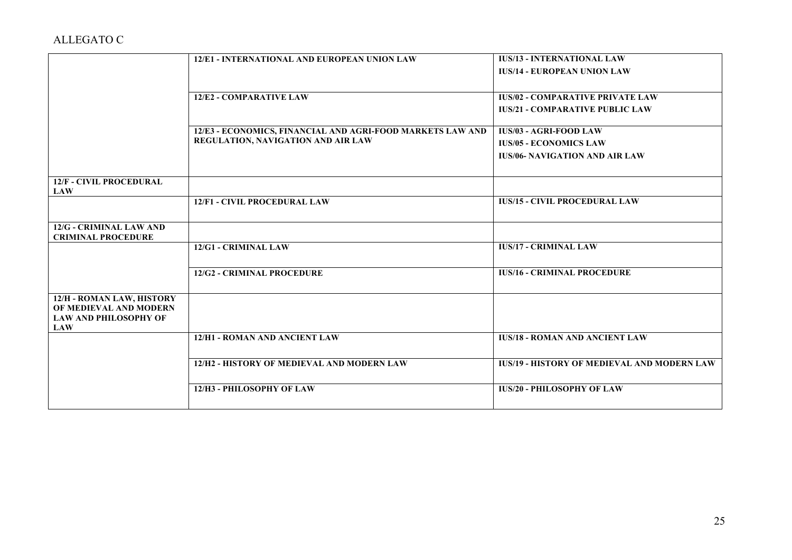|                                                        | 12/E1 - INTERNATIONAL AND EUROPEAN UNION LAW               | <b>IUS/13 - INTERNATIONAL LAW</b>                  |
|--------------------------------------------------------|------------------------------------------------------------|----------------------------------------------------|
|                                                        |                                                            | <b>IUS/14 - EUROPEAN UNION LAW</b>                 |
|                                                        |                                                            |                                                    |
|                                                        | 12/E2 - COMPARATIVE LAW                                    | <b>IUS/02 - COMPARATIVE PRIVATE LAW</b>            |
|                                                        |                                                            | <b>IUS/21 - COMPARATIVE PUBLIC LAW</b>             |
|                                                        |                                                            |                                                    |
|                                                        | 12/E3 - ECONOMICS, FINANCIAL AND AGRI-FOOD MARKETS LAW AND | <b>IUS/03 - AGRI-FOOD LAW</b>                      |
|                                                        | REGULATION, NAVIGATION AND AIR LAW                         | <b>IUS/05 - ECONOMICS LAW</b>                      |
|                                                        |                                                            | <b>IUS/06- NAVIGATION AND AIR LAW</b>              |
|                                                        |                                                            |                                                    |
| <b>12/F - CIVIL PROCEDURAL</b>                         |                                                            |                                                    |
| <b>LAW</b>                                             |                                                            |                                                    |
|                                                        | 12/F1 - CIVIL PROCEDURAL LAW                               | <b>IUS/15 - CIVIL PROCEDURAL LAW</b>               |
|                                                        |                                                            |                                                    |
| 12/G - CRIMINAL LAW AND                                |                                                            |                                                    |
| <b>CRIMINAL PROCEDURE</b>                              |                                                            |                                                    |
|                                                        | 12/G1 - CRIMINAL LAW                                       | <b>IUS/17 - CRIMINAL LAW</b>                       |
|                                                        |                                                            |                                                    |
|                                                        | <b>12/G2 - CRIMINAL PROCEDURE</b>                          | <b>IUS/16 - CRIMINAL PROCEDURE</b>                 |
|                                                        |                                                            |                                                    |
| 12/H - ROMAN LAW, HISTORY                              |                                                            |                                                    |
| OF MEDIEVAL AND MODERN<br><b>LAW AND PHILOSOPHY OF</b> |                                                            |                                                    |
| <b>LAW</b>                                             |                                                            |                                                    |
|                                                        | 12/H1 - ROMAN AND ANCIENT LAW                              | <b>IUS/18 - ROMAN AND ANCIENT LAW</b>              |
|                                                        |                                                            |                                                    |
|                                                        | 12/H2 - HISTORY OF MEDIEVAL AND MODERN LAW                 | <b>IUS/19 - HISTORY OF MEDIEVAL AND MODERN LAW</b> |
|                                                        |                                                            |                                                    |
|                                                        | 12/H3 - PHILOSOPHY OF LAW                                  | <b>IUS/20 - PHILOSOPHY OF LAW</b>                  |
|                                                        |                                                            |                                                    |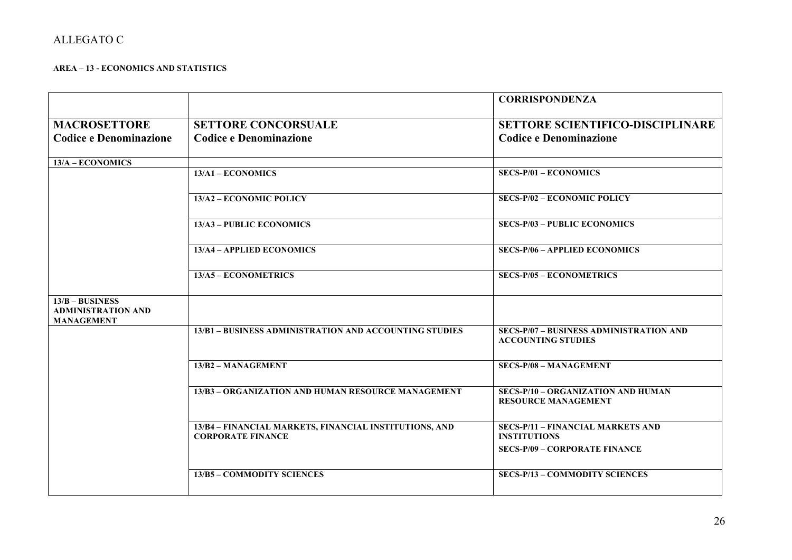### **AREA – 13 - ECONOMICS AND STATISTICS**

|                                                                     |                                                                                    | <b>CORRISPONDENZA</b>                                                                                   |
|---------------------------------------------------------------------|------------------------------------------------------------------------------------|---------------------------------------------------------------------------------------------------------|
| <b>MACROSETTORE</b><br><b>Codice e Denominazione</b>                | <b>SETTORE CONCORSUALE</b><br><b>Codice e Denominazione</b>                        | <b>SETTORE SCIENTIFICO-DISCIPLINARE</b><br><b>Codice e Denominazione</b>                                |
| $13/A - ECONOMICS$                                                  |                                                                                    |                                                                                                         |
|                                                                     | $13/A1 - ECONOMICS$                                                                | <b>SECS-P/01 - ECONOMICS</b>                                                                            |
|                                                                     | 13/A2 - ECONOMIC POLICY                                                            | <b>SECS-P/02 - ECONOMIC POLICY</b>                                                                      |
|                                                                     | 13/A3 - PUBLIC ECONOMICS                                                           | <b>SECS-P/03 - PUBLIC ECONOMICS</b>                                                                     |
|                                                                     | 13/A4 - APPLIED ECONOMICS                                                          | <b>SECS-P/06 - APPLIED ECONOMICS</b>                                                                    |
|                                                                     | 13/A5 - ECONOMETRICS                                                               | <b>SECS-P/05 - ECONOMETRICS</b>                                                                         |
| $13/B - BUSINESS$<br><b>ADMINISTRATION AND</b><br><b>MANAGEMENT</b> |                                                                                    |                                                                                                         |
|                                                                     | 13/B1 - BUSINESS ADMINISTRATION AND ACCOUNTING STUDIES                             | <b>SECS-P/07 - BUSINESS ADMINISTRATION AND</b><br><b>ACCOUNTING STUDIES</b>                             |
|                                                                     | 13/B2 - MANAGEMENT                                                                 | <b>SECS-P/08 - MANAGEMENT</b>                                                                           |
|                                                                     | 13/B3 - ORGANIZATION AND HUMAN RESOURCE MANAGEMENT                                 | SECS-P/10 - ORGANIZATION AND HUMAN<br><b>RESOURCE MANAGEMENT</b>                                        |
|                                                                     | 13/B4 - FINANCIAL MARKETS, FINANCIAL INSTITUTIONS, AND<br><b>CORPORATE FINANCE</b> | <b>SECS-P/11 - FINANCIAL MARKETS AND</b><br><b>INSTITUTIONS</b><br><b>SECS-P/09 - CORPORATE FINANCE</b> |
|                                                                     | 13/B5 - COMMODITY SCIENCES                                                         | <b>SECS-P/13 - COMMODITY SCIENCES</b>                                                                   |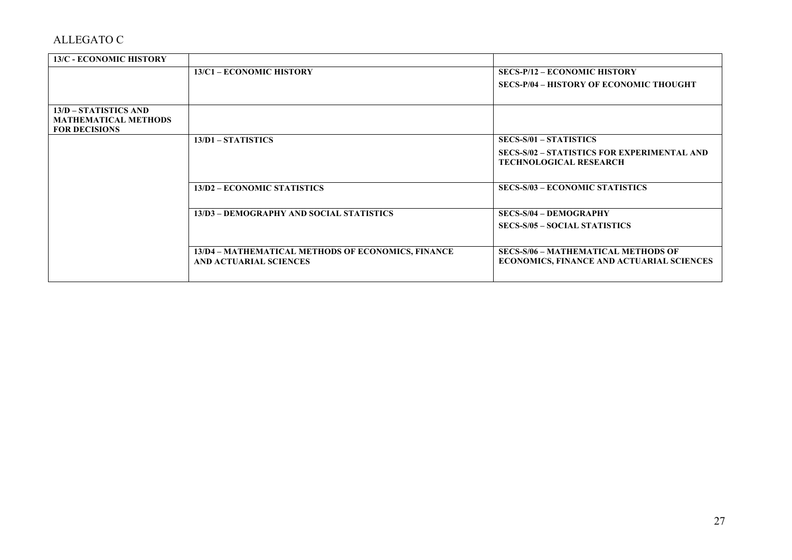| <b>13/C - ECONOMIC HISTORY</b> |                                                                                     |                                                                                                |
|--------------------------------|-------------------------------------------------------------------------------------|------------------------------------------------------------------------------------------------|
|                                | 13/C1 – ECONOMIC HISTORY                                                            | <b>SECS-P/12 – ECONOMIC HISTORY</b>                                                            |
|                                |                                                                                     | <b>SECS-P/04 - HISTORY OF ECONOMIC THOUGHT</b>                                                 |
|                                |                                                                                     |                                                                                                |
| 13/D – STATISTICS AND          |                                                                                     |                                                                                                |
| <b>MATHEMATICAL METHODS</b>    |                                                                                     |                                                                                                |
| <b>FOR DECISIONS</b>           |                                                                                     |                                                                                                |
|                                | $13/D1 - STATISTICS$                                                                | <b>SECS-S/01 - STATISTICS</b>                                                                  |
|                                |                                                                                     | <b>SECS-S/02 - STATISTICS FOR EXPERIMENTAL AND</b><br><b>TECHNOLOGICAL RESEARCH</b>            |
|                                |                                                                                     |                                                                                                |
|                                | 13/D2 - ECONOMIC STATISTICS                                                         | <b>SECS-S/03 - ECONOMIC STATISTICS</b>                                                         |
|                                | 13/D3 – DEMOGRAPHY AND SOCIAL STATISTICS                                            | <b>SECS-S/04 - DEMOGRAPHY</b>                                                                  |
|                                |                                                                                     | <b>SECS-S/05 - SOCIAL STATISTICS</b>                                                           |
|                                |                                                                                     |                                                                                                |
|                                | 13/D4 – MATHEMATICAL METHODS OF ECONOMICS, FINANCE<br><b>AND ACTUARIAL SCIENCES</b> | <b>SECS-S/06 - MATHEMATICAL METHODS OF</b><br><b>ECONOMICS, FINANCE AND ACTUARIAL SCIENCES</b> |
|                                |                                                                                     |                                                                                                |